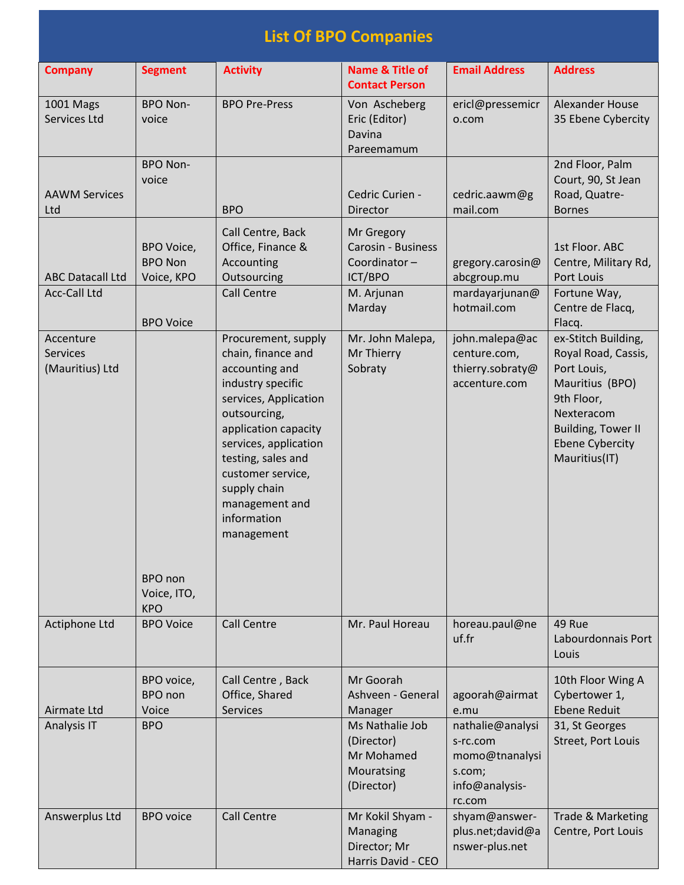|                                                 | <b>List Of BPO Companies</b>                             |                                                                                                                                                                                                                                                                                      |                                                                                            |                                                                                      |                                                                                                                                                                                     |  |  |
|-------------------------------------------------|----------------------------------------------------------|--------------------------------------------------------------------------------------------------------------------------------------------------------------------------------------------------------------------------------------------------------------------------------------|--------------------------------------------------------------------------------------------|--------------------------------------------------------------------------------------|-------------------------------------------------------------------------------------------------------------------------------------------------------------------------------------|--|--|
| <b>Company</b>                                  | <b>Segment</b>                                           | <b>Activity</b>                                                                                                                                                                                                                                                                      | <b>Name &amp; Title of</b><br><b>Contact Person</b>                                        | <b>Email Address</b>                                                                 | <b>Address</b>                                                                                                                                                                      |  |  |
| <b>1001 Mags</b><br>Services Ltd                | <b>BPO Non-</b><br>voice                                 | <b>BPO Pre-Press</b>                                                                                                                                                                                                                                                                 | Von Ascheberg<br>Eric (Editor)<br>Davina<br>Pareemamum                                     | ericl@pressemicr<br>o.com                                                            | Alexander House<br>35 Ebene Cybercity                                                                                                                                               |  |  |
| <b>AAWM Services</b><br>Ltd                     | <b>BPO Non-</b><br>voice                                 | <b>BPO</b>                                                                                                                                                                                                                                                                           | Cedric Curien -<br>Director                                                                | cedric.aawm@g<br>mail.com                                                            | 2nd Floor, Palm<br>Court, 90, St Jean<br>Road, Quatre-<br><b>Bornes</b>                                                                                                             |  |  |
| <b>ABC Datacall Ltd</b><br><b>Acc-Call Ltd</b>  | BPO Voice,<br><b>BPO Non</b><br>Voice, KPO               | Call Centre, Back<br>Office, Finance &<br>Accounting<br>Outsourcing<br><b>Call Centre</b>                                                                                                                                                                                            | Mr Gregory<br><b>Carosin - Business</b><br>Coordinator-<br>ICT/BPO<br>M. Arjunan<br>Marday | gregory.carosin@<br>abcgroup.mu<br>mardayarjunan@<br>hotmail.com                     | 1st Floor. ABC<br>Centre, Military Rd,<br>Port Louis<br>Fortune Way,<br>Centre de Flacq,                                                                                            |  |  |
| Accenture<br><b>Services</b><br>(Mauritius) Ltd | <b>BPO Voice</b><br>BPO non<br>Voice, ITO,<br><b>KPO</b> | Procurement, supply<br>chain, finance and<br>accounting and<br>industry specific<br>services, Application<br>outsourcing,<br>application capacity<br>services, application<br>testing, sales and<br>customer service,<br>supply chain<br>management and<br>information<br>management | Mr. John Malepa,<br>Mr Thierry<br>Sobraty                                                  | john.malepa@ac<br>centure.com,<br>thierry.sobraty@<br>accenture.com                  | Flacq.<br>ex-Stitch Building,<br>Royal Road, Cassis,<br>Port Louis,<br>Mauritius (BPO)<br>9th Floor,<br>Nexteracom<br>Building, Tower II<br><b>Ebene Cybercity</b><br>Mauritius(IT) |  |  |
| Actiphone Ltd                                   | <b>BPO Voice</b>                                         | <b>Call Centre</b>                                                                                                                                                                                                                                                                   | Mr. Paul Horeau                                                                            | horeau.paul@ne<br>uf.fr                                                              | 49 Rue<br>Labourdonnais Port<br>Louis                                                                                                                                               |  |  |
| Airmate Ltd                                     | BPO voice,<br>BPO non<br>Voice                           | Call Centre, Back<br>Office, Shared<br><b>Services</b>                                                                                                                                                                                                                               | Mr Goorah<br>Ashveen - General<br>Manager                                                  | agoorah@airmat<br>e.mu                                                               | 10th Floor Wing A<br>Cybertower 1,<br><b>Ebene Reduit</b>                                                                                                                           |  |  |
| Analysis IT                                     | <b>BPO</b>                                               |                                                                                                                                                                                                                                                                                      | Ms Nathalie Job<br>(Director)<br>Mr Mohamed<br>Mouratsing<br>(Director)                    | nathalie@analysi<br>s-rc.com<br>momo@tnanalysi<br>s.com;<br>info@analysis-<br>rc.com | 31, St Georges<br>Street, Port Louis                                                                                                                                                |  |  |
| Answerplus Ltd                                  | <b>BPO</b> voice                                         | <b>Call Centre</b>                                                                                                                                                                                                                                                                   | Mr Kokil Shyam -<br>Managing<br>Director; Mr<br>Harris David - CEO                         | shyam@answer-<br>plus.net;david@a<br>nswer-plus.net                                  | Trade & Marketing<br>Centre, Port Louis                                                                                                                                             |  |  |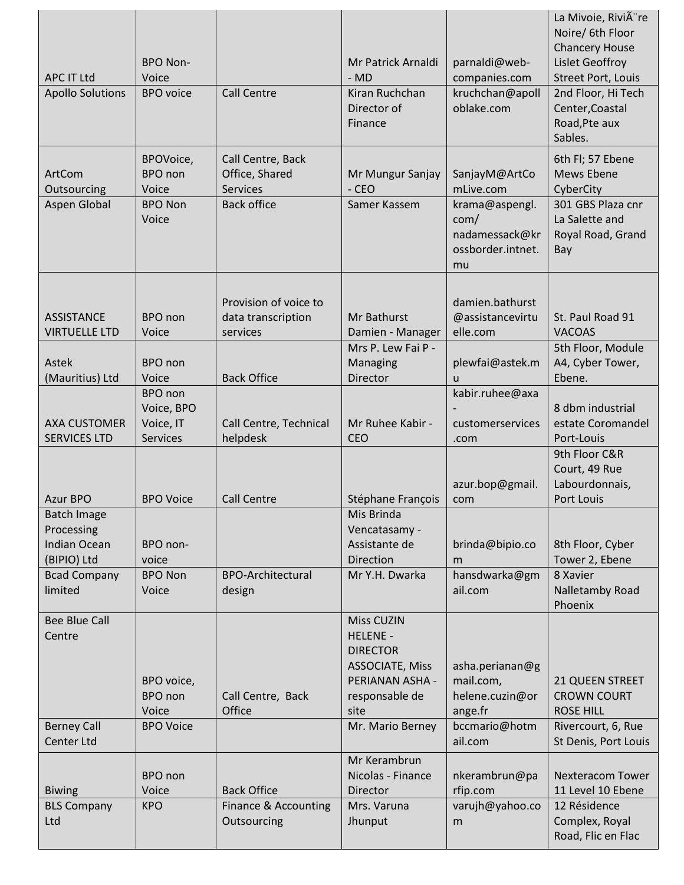| <b>APC IT Ltd</b><br><b>Apollo Solutions</b>                           | <b>BPO Non-</b><br>Voice<br><b>BPO</b> voice                   | <b>Call Centre</b>                                                            | Mr Patrick Arnaldi<br>$-MD$<br>Kiran Ruchchan<br>Director of<br>Finance                                                        | parnaldi@web-<br>companies.com<br>kruchchan@apoll<br>oblake.com                                   | La Mivoie, Rivià re<br>Noire/ 6th Floor<br><b>Chancery House</b><br>Lislet Geoffroy<br><b>Street Port, Louis</b><br>2nd Floor, Hi Tech<br>Center, Coastal<br>Road, Pte aux<br>Sables. |
|------------------------------------------------------------------------|----------------------------------------------------------------|-------------------------------------------------------------------------------|--------------------------------------------------------------------------------------------------------------------------------|---------------------------------------------------------------------------------------------------|---------------------------------------------------------------------------------------------------------------------------------------------------------------------------------------|
| ArtCom<br>Outsourcing<br>Aspen Global                                  | BPOVoice,<br>BPO non<br>Voice<br><b>BPO Non</b><br>Voice       | Call Centre, Back<br>Office, Shared<br><b>Services</b><br><b>Back office</b>  | Mr Mungur Sanjay<br>$-CEO$<br>Samer Kassem                                                                                     | SanjayM@ArtCo<br>mLive.com<br>krama@aspengl.<br>com/<br>nadamessack@kr<br>ossborder.intnet.<br>mu | 6th Fl; 57 Ebene<br>Mews Ebene<br>CyberCity<br>301 GBS Plaza cnr<br>La Salette and<br>Royal Road, Grand<br>Bay                                                                        |
| <b>ASSISTANCE</b><br><b>VIRTUELLE LTD</b><br>Astek                     | <b>BPO</b> non<br>Voice<br><b>BPO</b> non                      | Provision of voice to<br>data transcription<br>services<br><b>Back Office</b> | Mr Bathurst<br>Damien - Manager<br>Mrs P. Lew Fai P -<br>Managing<br>Director                                                  | damien.bathurst<br>@assistancevirtu<br>elle.com<br>plewfai@astek.m                                | St. Paul Road 91<br><b>VACOAS</b><br>5th Floor, Module<br>A4, Cyber Tower,                                                                                                            |
| (Mauritius) Ltd<br><b>AXA CUSTOMER</b><br><b>SERVICES LTD</b>          | Voice<br>BPO non<br>Voice, BPO<br>Voice, IT<br><b>Services</b> | Call Centre, Technical<br>helpdesk                                            | Mr Ruhee Kabir -<br>CEO                                                                                                        | $\mathsf{u}$<br>kabir.ruhee@axa<br>customerservices<br>.com                                       | Ebene.<br>8 dbm industrial<br>estate Coromandel<br>Port-Louis                                                                                                                         |
| Azur BPO                                                               | <b>BPO Voice</b>                                               | <b>Call Centre</b>                                                            | Stéphane François                                                                                                              | azur.bop@gmail.<br>com                                                                            | 9th Floor C&R<br>Court, 49 Rue<br>Labourdonnais,<br>Port Louis                                                                                                                        |
| <b>Batch Image</b><br>Processing<br><b>Indian Ocean</b><br>(BIPIO) Ltd | BPO non-<br>voice                                              |                                                                               | Mis Brinda<br>Vencatasamy -<br>Assistante de<br><b>Direction</b>                                                               | brinda@bipio.co<br>m                                                                              | 8th Floor, Cyber<br>Tower 2, Ebene                                                                                                                                                    |
| <b>Bcad Company</b><br>limited                                         | <b>BPO Non</b><br>Voice                                        | <b>BPO-Architectural</b><br>design                                            | Mr Y.H. Dwarka                                                                                                                 | hansdwarka@gm<br>ail.com                                                                          | 8 Xavier<br>Nalletamby Road<br>Phoenix                                                                                                                                                |
| <b>Bee Blue Call</b><br>Centre                                         | BPO voice,<br><b>BPO</b> non<br>Voice                          | Call Centre, Back<br>Office                                                   | <b>Miss CUZIN</b><br><b>HELENE -</b><br><b>DIRECTOR</b><br><b>ASSOCIATE, Miss</b><br>PERIANAN ASHA -<br>responsable de<br>site | asha.perianan@g<br>mail.com,<br>helene.cuzin@or<br>ange.fr                                        | 21 QUEEN STREET<br><b>CROWN COURT</b><br><b>ROSE HILL</b>                                                                                                                             |
| <b>Berney Call</b><br>Center Ltd                                       | <b>BPO Voice</b>                                               |                                                                               | Mr. Mario Berney                                                                                                               | bccmario@hotm<br>ail.com                                                                          | Rivercourt, 6, Rue<br>St Denis, Port Louis                                                                                                                                            |
| <b>Biwing</b><br><b>BLS Company</b>                                    | <b>BPO</b> non<br>Voice<br><b>KPO</b>                          | <b>Back Office</b><br>Finance & Accounting                                    | Mr Kerambrun<br>Nicolas - Finance<br>Director<br>Mrs. Varuna                                                                   | nkerambrun@pa<br>rfip.com<br>varujh@yahoo.co                                                      | <b>Nexteracom Tower</b><br>11 Level 10 Ebene<br>12 Résidence                                                                                                                          |
| Ltd                                                                    |                                                                | Outsourcing                                                                   | Jhunput                                                                                                                        | m                                                                                                 | Complex, Royal<br>Road, Flic en Flac                                                                                                                                                  |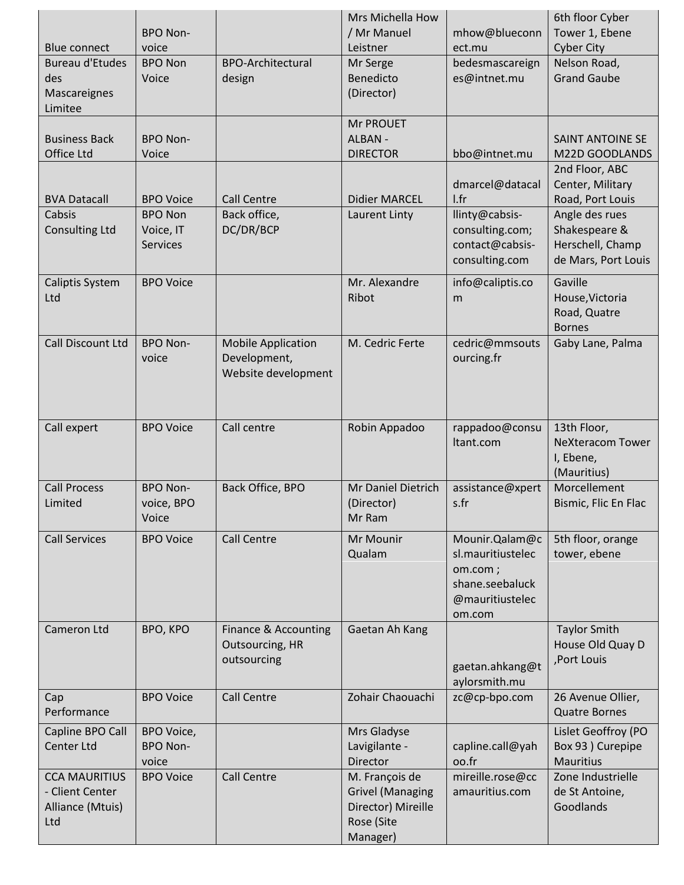|                                                                    | <b>BPO Non-</b>                                |                                                                  | Mrs Michella How<br>/ Mr Manuel                                                           | mhow@blueconn                                                                                  | 6th floor Cyber<br>Tower 1, Ebene                                          |
|--------------------------------------------------------------------|------------------------------------------------|------------------------------------------------------------------|-------------------------------------------------------------------------------------------|------------------------------------------------------------------------------------------------|----------------------------------------------------------------------------|
| <b>Blue connect</b>                                                | voice                                          |                                                                  | Leistner                                                                                  | ect.mu                                                                                         | <b>Cyber City</b>                                                          |
| <b>Bureau d'Etudes</b><br>des                                      | <b>BPO Non</b><br>Voice                        | <b>BPO-Architectural</b><br>design                               | Mr Serge<br>Benedicto<br>(Director)                                                       | bedesmascareign<br>es@intnet.mu                                                                | Nelson Road,<br><b>Grand Gaube</b>                                         |
| Mascareignes<br>Limitee                                            |                                                |                                                                  |                                                                                           |                                                                                                |                                                                            |
| <b>Business Back</b>                                               | <b>BPO Non-</b>                                |                                                                  | <b>Mr PROUET</b><br>ALBAN -                                                               |                                                                                                | <b>SAINT ANTOINE SE</b>                                                    |
| Office Ltd                                                         | Voice                                          |                                                                  | <b>DIRECTOR</b>                                                                           | bbo@intnet.mu                                                                                  | M22D GOODLANDS                                                             |
| <b>BVA Datacall</b>                                                | <b>BPO Voice</b>                               | <b>Call Centre</b>                                               | <b>Didier MARCEL</b>                                                                      | dmarcel@datacal<br>l.fr                                                                        | 2nd Floor, ABC<br>Center, Military<br>Road, Port Louis                     |
| Cabsis<br><b>Consulting Ltd</b>                                    | <b>BPO Non</b><br>Voice, IT<br><b>Services</b> | Back office,<br>DC/DR/BCP                                        | Laurent Linty                                                                             | llinty@cabsis-<br>consulting.com;<br>contact@cabsis-<br>consulting.com                         | Angle des rues<br>Shakespeare &<br>Herschell, Champ<br>de Mars, Port Louis |
| <b>Caliptis System</b><br>Ltd                                      | <b>BPO Voice</b>                               |                                                                  | Mr. Alexandre<br>Ribot                                                                    | info@caliptis.co<br>m                                                                          | Gaville<br>House, Victoria<br>Road, Quatre<br><b>Bornes</b>                |
| <b>Call Discount Ltd</b>                                           | <b>BPO Non-</b><br>voice                       | <b>Mobile Application</b><br>Development,<br>Website development | M. Cedric Ferte                                                                           | cedric@mmsouts<br>ourcing.fr                                                                   | Gaby Lane, Palma                                                           |
| Call expert                                                        | <b>BPO Voice</b>                               | Call centre                                                      | Robin Appadoo                                                                             | rappadoo@consu<br>Itant.com                                                                    | 13th Floor,<br><b>NeXteracom Tower</b><br>I, Ebene,<br>(Mauritius)         |
| <b>Call Process</b><br>Limited                                     | <b>BPO Non-</b><br>voice, BPO<br>Voice         | Back Office, BPO                                                 | Mr Daniel Dietrich<br>(Director)<br>Mr Ram                                                | assistance@xpert<br>s.fr                                                                       | Morcellement<br>Bismic, Flic En Flac                                       |
| <b>Call Services</b>                                               | <b>BPO Voice</b>                               | <b>Call Centre</b>                                               | Mr Mounir<br>Qualam                                                                       | Mounir.Qalam@c<br>sl.mauritiustelec<br>om.com;<br>shane.seebaluck<br>@mauritiustelec<br>om.com | 5th floor, orange<br>tower, ebene                                          |
| Cameron Ltd                                                        | BPO, KPO                                       | Finance & Accounting<br>Outsourcing, HR<br>outsourcing           | Gaetan Ah Kang                                                                            | gaetan.ahkang@t<br>aylorsmith.mu                                                               | <b>Taylor Smith</b><br>House Old Quay D<br>,Port Louis                     |
| Cap<br>Performance                                                 | <b>BPO Voice</b>                               | <b>Call Centre</b>                                               | Zohair Chaouachi                                                                          | zc@cp-bpo.com                                                                                  | 26 Avenue Ollier,<br><b>Quatre Bornes</b>                                  |
| Capline BPO Call<br>Center Ltd                                     | BPO Voice,<br><b>BPO Non-</b><br>voice         |                                                                  | Mrs Gladyse<br>Lavigilante -<br><b>Director</b>                                           | capline.call@yah<br>oo.fr                                                                      | Lislet Geoffroy (PO<br>Box 93 ) Curepipe<br><b>Mauritius</b>               |
| <b>CCA MAURITIUS</b><br>- Client Center<br>Alliance (Mtuis)<br>Ltd | <b>BPO Voice</b>                               | <b>Call Centre</b>                                               | M. François de<br><b>Grivel (Managing</b><br>Director) Mireille<br>Rose (Site<br>Manager) | mireille.rose@cc<br>amauritius.com                                                             | Zone Industrielle<br>de St Antoine,<br>Goodlands                           |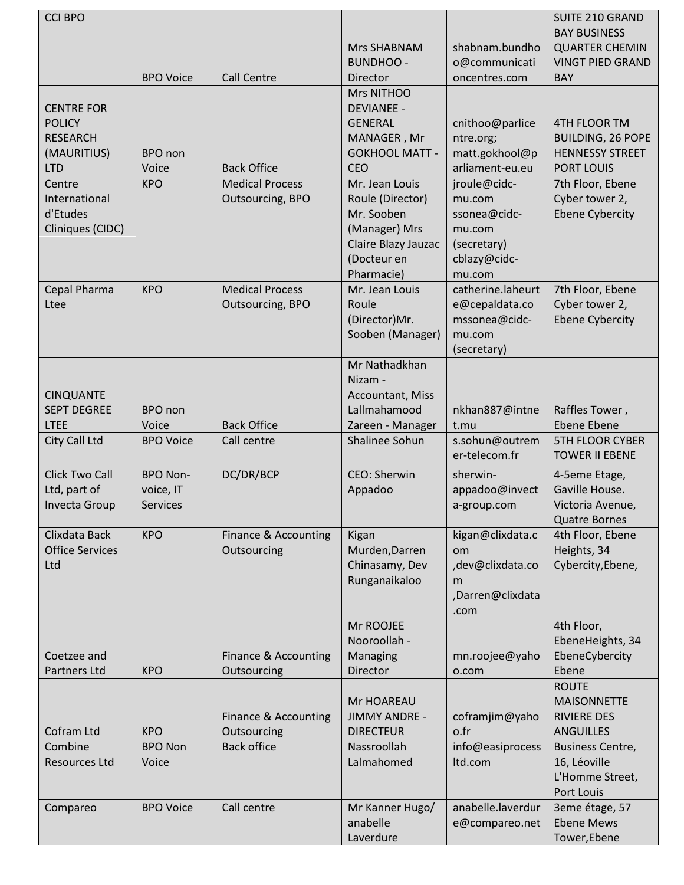| <b>CCI BPO</b>         |                  |                        |                             |                   | <b>SUITE 210 GRAND</b>              |
|------------------------|------------------|------------------------|-----------------------------|-------------------|-------------------------------------|
|                        |                  |                        |                             |                   | <b>BAY BUSINESS</b>                 |
|                        |                  |                        | Mrs SHABNAM                 | shabnam.bundho    | <b>QUARTER CHEMIN</b>               |
|                        |                  |                        | <b>BUNDHOO -</b>            | o@communicati     | <b>VINGT PIED GRAND</b>             |
|                        | <b>BPO Voice</b> | <b>Call Centre</b>     | Director                    | oncentres.com     | <b>BAY</b>                          |
|                        |                  |                        | Mrs NITHOO                  |                   |                                     |
| <b>CENTRE FOR</b>      |                  |                        | <b>DEVIANEE -</b>           |                   |                                     |
| <b>POLICY</b>          |                  |                        | <b>GENERAL</b>              | cnithoo@parlice   | 4TH FLOOR TM                        |
| <b>RESEARCH</b>        |                  |                        | MANAGER, Mr                 | ntre.org;         | <b>BUILDING, 26 POPE</b>            |
| (MAURITIUS)            | BPO non          |                        | <b>GOKHOOL MATT -</b>       | matt.gokhool@p    | <b>HENNESSY STREET</b>              |
| <b>LTD</b>             | Voice            | <b>Back Office</b>     | <b>CEO</b>                  | arliament-eu.eu   | <b>PORT LOUIS</b>                   |
| Centre                 | <b>KPO</b>       | <b>Medical Process</b> | Mr. Jean Louis              | jroule@cidc-      | 7th Floor, Ebene                    |
| International          |                  | Outsourcing, BPO       | Roule (Director)            | mu.com            | Cyber tower 2,                      |
| d'Etudes               |                  |                        | Mr. Sooben                  | ssonea@cidc-      | <b>Ebene Cybercity</b>              |
| Cliniques (CIDC)       |                  |                        | (Manager) Mrs               | mu.com            |                                     |
|                        |                  |                        | Claire Blazy Jauzac         | (secretary)       |                                     |
|                        |                  |                        | (Docteur en                 | cblazy@cidc-      |                                     |
|                        |                  |                        | Pharmacie)                  | mu.com            |                                     |
| Cepal Pharma           | <b>KPO</b>       | <b>Medical Process</b> | Mr. Jean Louis              | catherine.laheurt | 7th Floor, Ebene                    |
| Ltee                   |                  | Outsourcing, BPO       | Roule                       | e@cepaldata.co    | Cyber tower 2,                      |
|                        |                  |                        | (Director)Mr.               | mssonea@cidc-     | <b>Ebene Cybercity</b>              |
|                        |                  |                        | Sooben (Manager)            | mu.com            |                                     |
|                        |                  |                        |                             | (secretary)       |                                     |
|                        |                  |                        | Mr Nathadkhan               |                   |                                     |
|                        |                  |                        | Nizam -                     |                   |                                     |
| <b>CINQUANTE</b>       |                  |                        | Accountant, Miss            |                   |                                     |
| <b>SEPT DEGREE</b>     | <b>BPO</b> non   |                        | Lallmahamood                | nkhan887@intne    | Raffles Tower,                      |
| <b>LTEE</b>            | Voice            | <b>Back Office</b>     | Zareen - Manager            | t.mu              | <b>Ebene Ebene</b>                  |
| City Call Ltd          | <b>BPO Voice</b> | Call centre            | Shalinee Sohun              | s.sohun@outrem    | <b>5TH FLOOR CYBER</b>              |
|                        |                  |                        |                             | er-telecom.fr     | <b>TOWER II EBENE</b>               |
| <b>Click Two Call</b>  | <b>BPO Non-</b>  | DC/DR/BCP              | <b>CEO: Sherwin</b>         | sherwin-          | 4-5eme Etage,                       |
| Ltd, part of           | voice, IT        |                        | Appadoo                     | appadoo@invect    | Gaville House.                      |
| <b>Invecta Group</b>   | <b>Services</b>  |                        |                             | a-group.com       | Victoria Avenue,                    |
|                        |                  |                        |                             |                   | <b>Quatre Bornes</b>                |
| Clixdata Back          | <b>KPO</b>       | Finance & Accounting   | Kigan                       | kigan@clixdata.c  | 4th Floor, Ebene                    |
| <b>Office Services</b> |                  | Outsourcing            | Murden, Darren              | om                | Heights, 34                         |
| Ltd                    |                  |                        | Chinasamy, Dev              | ,dev@clixdata.co  | Cybercity, Ebene,                   |
|                        |                  |                        | Runganaikaloo               | m                 |                                     |
|                        |                  |                        |                             | ,Darren@clixdata  |                                     |
|                        |                  |                        |                             | .com              |                                     |
|                        |                  |                        | Mr ROOJEE                   |                   | 4th Floor,                          |
|                        |                  |                        | Nooroollah -                |                   | EbeneHeights, 34                    |
| Coetzee and            |                  | Finance & Accounting   | Managing                    | mn.roojee@yaho    | EbeneCybercity                      |
| Partners Ltd           | <b>KPO</b>       | Outsourcing            | Director                    | o.com             | Ebene                               |
|                        |                  |                        |                             |                   | <b>ROUTE</b>                        |
|                        |                  |                        | Mr HOAREAU                  |                   | <b>MAISONNETTE</b>                  |
|                        |                  | Finance & Accounting   | <b>JIMMY ANDRE -</b>        | coframjim@yaho    | <b>RIVIERE DES</b>                  |
| Cofram Ltd             | <b>KPO</b>       | Outsourcing            | <b>DIRECTEUR</b>            | o.fr              | <b>ANGUILLES</b>                    |
| Combine                | <b>BPO Non</b>   | <b>Back office</b>     | Nassroollah                 | info@easiprocess  | <b>Business Centre,</b>             |
| <b>Resources Ltd</b>   | Voice            |                        | Lalmahomed                  | Itd.com           | 16, Léoville                        |
|                        |                  |                        |                             |                   | L'Homme Street,                     |
|                        |                  |                        |                             |                   | Port Louis                          |
|                        |                  |                        |                             | anabelle.laverdur |                                     |
| Compareo               | <b>BPO Voice</b> | Call centre            | Mr Kanner Hugo/<br>anabelle |                   | 3eme étage, 57<br><b>Ebene Mews</b> |
|                        |                  |                        |                             | e@compareo.net    |                                     |
|                        |                  |                        | Laverdure                   |                   | Tower, Ebene                        |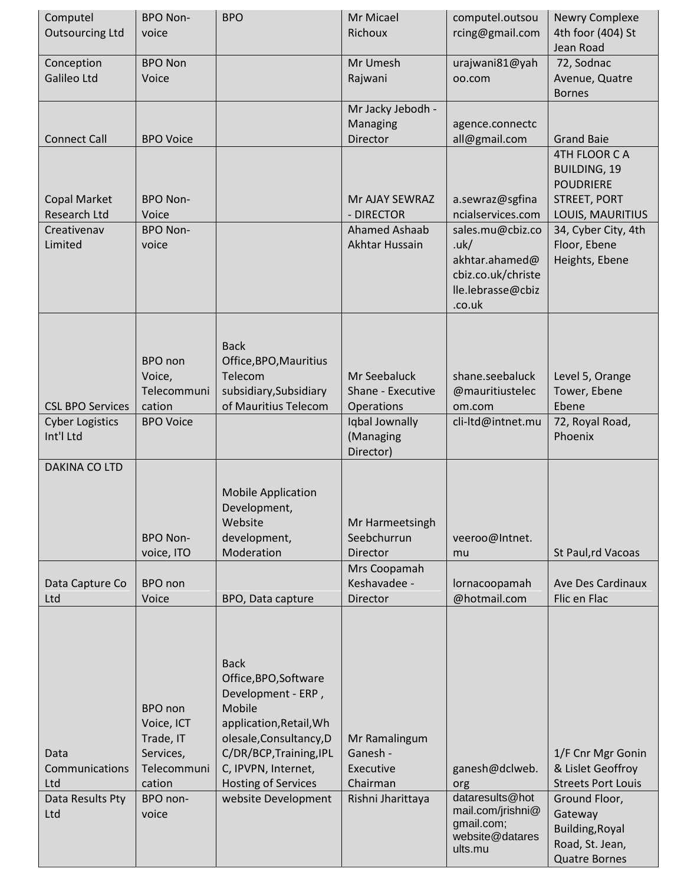| Computel<br><b>Outsourcing Ltd</b>                             | <b>BPO Non-</b><br>voice                                                                      | <b>BPO</b>                                                                                                                                                                                                                        | Mr Micael<br>Richoux                                                           | computel.outsou<br>rcing@gmail.com                                                                        | <b>Newry Complexe</b><br>4th foor (404) St<br>Jean Road                                                                                                       |
|----------------------------------------------------------------|-----------------------------------------------------------------------------------------------|-----------------------------------------------------------------------------------------------------------------------------------------------------------------------------------------------------------------------------------|--------------------------------------------------------------------------------|-----------------------------------------------------------------------------------------------------------|---------------------------------------------------------------------------------------------------------------------------------------------------------------|
| Conception<br><b>Galileo Ltd</b>                               | <b>BPO Non</b><br>Voice                                                                       |                                                                                                                                                                                                                                   | Mr Umesh<br>Rajwani                                                            | urajwani81@yah<br>oo.com                                                                                  | 72, Sodnac<br>Avenue, Quatre                                                                                                                                  |
| <b>Connect Call</b>                                            | <b>BPO Voice</b>                                                                              |                                                                                                                                                                                                                                   | Mr Jacky Jebodh -<br><b>Managing</b><br>Director                               | agence.connectc<br>all@gmail.com                                                                          | <b>Bornes</b><br><b>Grand Baie</b>                                                                                                                            |
| <b>Copal Market</b><br>Research Ltd<br>Creativenav<br>Limited  | <b>BPO Non-</b><br>Voice<br><b>BPO Non-</b><br>voice                                          |                                                                                                                                                                                                                                   | Mr AJAY SEWRAZ<br>- DIRECTOR<br>Ahamed Ashaab<br>Akhtar Hussain                | a.sewraz@sgfina<br>ncialservices.com<br>sales.mu@cbiz.co<br>uk/<br>akhtar.ahamed@<br>cbiz.co.uk/christe   | 4TH FLOOR CA<br><b>BUILDING, 19</b><br><b>POUDRIERE</b><br><b>STREET, PORT</b><br>LOUIS, MAURITIUS<br>34, Cyber City, 4th<br>Floor, Ebene<br>Heights, Ebene   |
|                                                                |                                                                                               |                                                                                                                                                                                                                                   |                                                                                | lle.lebrasse@cbiz<br>.co.uk                                                                               |                                                                                                                                                               |
| <b>CSL BPO Services</b><br><b>Cyber Logistics</b><br>Int'l Ltd | BPO non<br>Voice,<br>Telecommuni<br>cation<br><b>BPO Voice</b>                                | <b>Back</b><br>Office, BPO, Mauritius<br>Telecom<br>subsidiary, Subsidiary<br>of Mauritius Telecom                                                                                                                                | Mr Seebaluck<br>Shane - Executive<br>Operations<br>Iqbal Jownally<br>(Managing | shane.seebaluck<br>@mauritiustelec<br>om.com<br>cli-ltd@intnet.mu                                         | Level 5, Orange<br>Tower, Ebene<br>Ebene<br>72, Royal Road,<br>Phoenix                                                                                        |
| DAKINA CO LTD                                                  |                                                                                               |                                                                                                                                                                                                                                   | Director)                                                                      |                                                                                                           |                                                                                                                                                               |
|                                                                | <b>BPO Non-</b><br>voice, ITO                                                                 | <b>Mobile Application</b><br>Development,<br>Website<br>development,<br>Moderation                                                                                                                                                | Mr Harmeetsingh<br>Seebchurrun<br>Director                                     | veeroo@Intnet.<br>mu                                                                                      | St Paul,rd Vacoas                                                                                                                                             |
| Data Capture Co<br>Ltd                                         | BPO non<br>Voice                                                                              | BPO, Data capture                                                                                                                                                                                                                 | Mrs Coopamah<br>Keshavadee -<br>Director                                       | lornacoopamah<br>@hotmail.com                                                                             | <b>Ave Des Cardinaux</b><br>Flic en Flac                                                                                                                      |
| Data<br>Communications<br>Ltd<br>Data Results Pty<br>Ltd       | BPO non<br>Voice, ICT<br>Trade, IT<br>Services,<br>Telecommuni<br>cation<br>BPO non-<br>voice | <b>Back</b><br>Office, BPO, Software<br>Development - ERP,<br>Mobile<br>application, Retail, Wh<br>olesale, Consultancy, D<br>C/DR/BCP, Training, IPL<br>C, IPVPN, Internet,<br><b>Hosting of Services</b><br>website Development | Mr Ramalingum<br>Ganesh -<br>Executive<br>Chairman<br>Rishni Jharittaya        | ganesh@dclweb.<br>org<br>dataresults@hot<br>mail.com/jrishni@<br>gmail.com;<br>website@datares<br>ults.mu | 1/F Cnr Mgr Gonin<br>& Lislet Geoffroy<br><b>Streets Port Louis</b><br>Ground Floor,<br>Gateway<br>Building, Royal<br>Road, St. Jean,<br><b>Quatre Bornes</b> |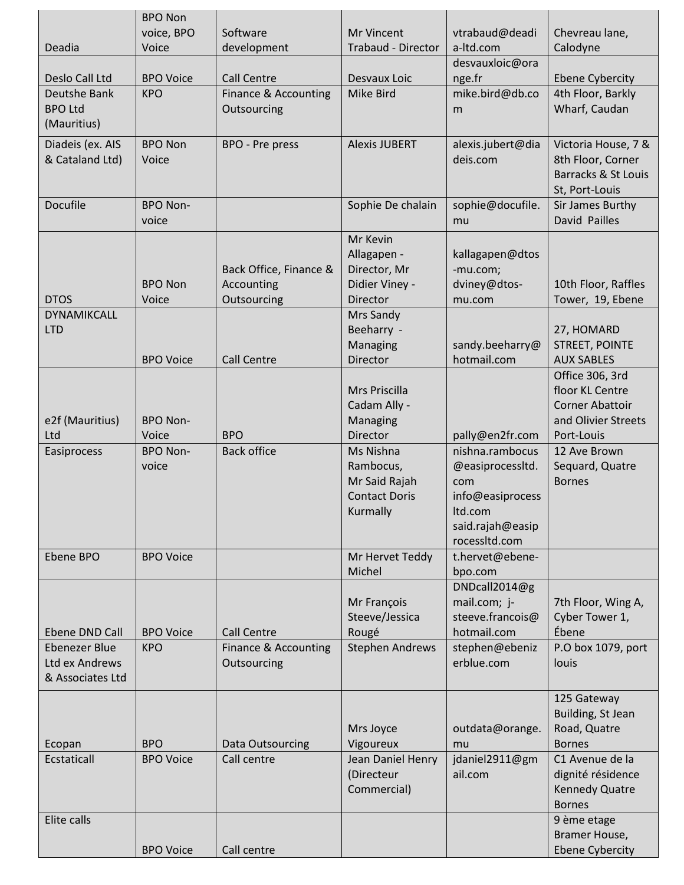|                      | <b>BPO Non</b>          |                        |                                   |                                   |                              |
|----------------------|-------------------------|------------------------|-----------------------------------|-----------------------------------|------------------------------|
|                      | voice, BPO              | Software               | Mr Vincent                        | vtrabaud@deadi                    | Chevreau lane,               |
| Deadia               | Voice                   | development            | <b>Trabaud - Director</b>         | a-Itd.com                         | Calodyne                     |
|                      |                         |                        |                                   | desvauxloic@ora                   |                              |
| Deslo Call Ltd       | <b>BPO Voice</b>        | <b>Call Centre</b>     | Desvaux Loic                      | nge.fr                            | <b>Ebene Cybercity</b>       |
| Deutshe Bank         | <b>KPO</b>              | Finance & Accounting   | Mike Bird                         | mike.bird@db.co                   | 4th Floor, Barkly            |
| <b>BPO Ltd</b>       |                         | Outsourcing            |                                   | m                                 | Wharf, Caudan                |
| (Mauritius)          |                         |                        |                                   |                                   |                              |
| Diadeis (ex. AIS     | <b>BPO Non</b>          | BPO - Pre press        | <b>Alexis JUBERT</b>              | alexis.jubert@dia                 | Victoria House, 7 &          |
| & Cataland Ltd)      | Voice                   |                        |                                   | deis.com                          | 8th Floor, Corner            |
|                      |                         |                        |                                   |                                   | Barracks & St Louis          |
|                      |                         |                        |                                   |                                   | St, Port-Louis               |
| <b>Docufile</b>      | <b>BPO Non-</b>         |                        | Sophie De chalain                 | sophie@docufile.                  | Sir James Burthy             |
|                      | voice                   |                        |                                   | mu                                | David Pailles                |
|                      |                         |                        | Mr Kevin                          |                                   |                              |
|                      |                         |                        | Allagapen -                       | kallagapen@dtos                   |                              |
|                      |                         | Back Office, Finance & | Director, Mr                      | -mu.com;                          |                              |
| <b>DTOS</b>          | <b>BPO Non</b><br>Voice | Accounting             | Didier Viney -<br><b>Director</b> | dviney@dtos-                      | 10th Floor, Raffles          |
| <b>DYNAMIKCALL</b>   |                         | Outsourcing            | Mrs Sandy                         | mu.com                            | Tower, 19, Ebene             |
| <b>LTD</b>           |                         |                        | Beeharry -                        |                                   | 27, HOMARD                   |
|                      |                         |                        | Managing                          | sandy.beeharry@                   | <b>STREET, POINTE</b>        |
|                      | <b>BPO Voice</b>        | <b>Call Centre</b>     | Director                          | hotmail.com                       | <b>AUX SABLES</b>            |
|                      |                         |                        |                                   |                                   | Office 306, 3rd              |
|                      |                         |                        | Mrs Priscilla                     |                                   | floor KL Centre              |
|                      |                         |                        | Cadam Ally -                      |                                   | <b>Corner Abattoir</b>       |
| e2f (Mauritius)      | <b>BPO Non-</b>         |                        | Managing                          |                                   | and Olivier Streets          |
| Ltd                  | Voice                   | <b>BPO</b>             | Director                          | pally@en2fr.com                   | Port-Louis                   |
| Easiprocess          | <b>BPO Non-</b>         | <b>Back office</b>     | Ms Nishna                         | nishna.rambocus                   | 12 Ave Brown                 |
|                      | voice                   |                        | Rambocus,                         | @easiprocessItd.                  | Sequard, Quatre              |
|                      |                         |                        | Mr Said Rajah                     | com                               | <b>Bornes</b>                |
|                      |                         |                        | <b>Contact Doris</b>              | info@easiprocess                  |                              |
|                      |                         |                        | Kurmally                          | Itd.com                           |                              |
|                      |                         |                        |                                   | said.rajah@easip<br>rocessItd.com |                              |
| Ebene BPO            | <b>BPO Voice</b>        |                        | Mr Hervet Teddy                   | t.hervet@ebene-                   |                              |
|                      |                         |                        | Michel                            | bpo.com                           |                              |
|                      |                         |                        |                                   | DNDcall2014@g                     |                              |
|                      |                         |                        | Mr François                       | mail.com; j-                      | 7th Floor, Wing A,           |
|                      |                         |                        | Steeve/Jessica                    | steeve.francois@                  | Cyber Tower 1,               |
| Ebene DND Call       | <b>BPO Voice</b>        | <b>Call Centre</b>     | Rougé                             | hotmail.com                       | Ébene                        |
| <b>Ebenezer Blue</b> | <b>KPO</b>              | Finance & Accounting   | <b>Stephen Andrews</b>            | stephen@ebeniz                    | P.O box 1079, port           |
| Ltd ex Andrews       |                         | Outsourcing            |                                   | erblue.com                        | louis                        |
| & Associates Ltd     |                         |                        |                                   |                                   |                              |
|                      |                         |                        |                                   |                                   | 125 Gateway                  |
|                      |                         |                        |                                   |                                   | Building, St Jean            |
|                      |                         |                        | Mrs Joyce                         | outdata@orange.                   | Road, Quatre                 |
| Ecopan               | <b>BPO</b>              | Data Outsourcing       | Vigoureux                         | mu                                | <b>Bornes</b>                |
| Ecstaticall          | <b>BPO Voice</b>        | Call centre            | Jean Daniel Henry                 | jdaniel2911@gm                    | C1 Avenue de la              |
|                      |                         |                        | (Directeur                        | ail.com                           | dignité résidence            |
|                      |                         |                        | Commercial)                       |                                   | <b>Kennedy Quatre</b>        |
|                      |                         |                        |                                   |                                   | <b>Bornes</b>                |
| Elite calls          |                         |                        |                                   |                                   | 9 ème etage<br>Bramer House, |
|                      | <b>BPO Voice</b>        | Call centre            |                                   |                                   | <b>Ebene Cybercity</b>       |
|                      |                         |                        |                                   |                                   |                              |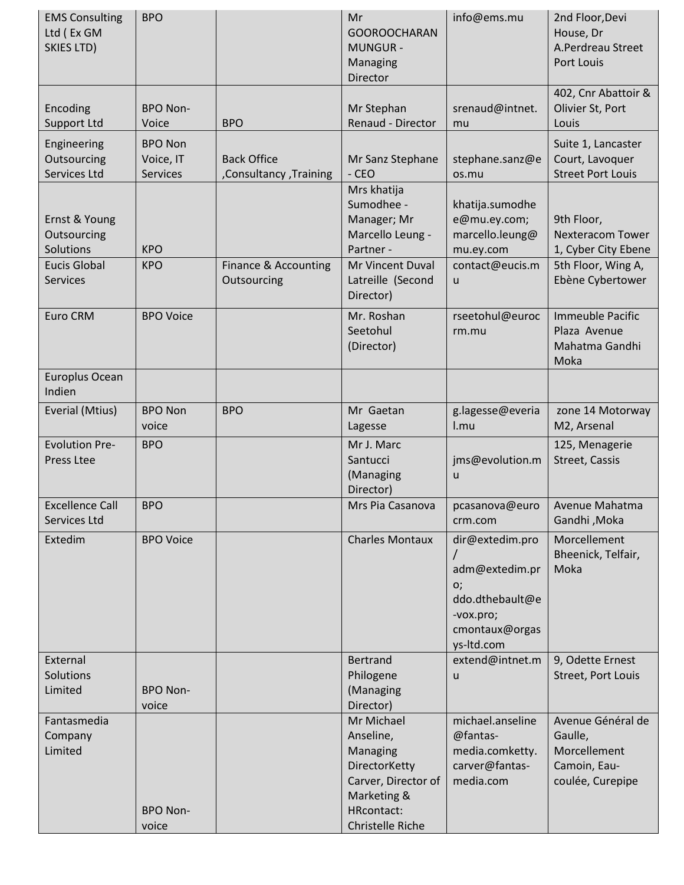| <b>EMS Consulting</b><br>Ltd (Ex GM<br>SKIES LTD)                                   | <b>BPO</b>                                     |                                              | Mr<br><b>GOOROOCHARAN</b><br><b>MUNGUR -</b><br>Managing<br>Director                                                                      | info@ems.mu                                                                                             | 2nd Floor, Devi<br>House, Dr<br>A.Perdreau Street<br>Port Louis                                        |
|-------------------------------------------------------------------------------------|------------------------------------------------|----------------------------------------------|-------------------------------------------------------------------------------------------------------------------------------------------|---------------------------------------------------------------------------------------------------------|--------------------------------------------------------------------------------------------------------|
| Encoding<br><b>Support Ltd</b>                                                      | <b>BPO Non-</b><br>Voice                       | <b>BPO</b>                                   | Mr Stephan<br>Renaud - Director                                                                                                           | srenaud@intnet.<br>mu                                                                                   | 402, Cnr Abattoir &<br>Olivier St, Port<br>Louis                                                       |
| Engineering<br>Outsourcing<br>Services Ltd                                          | <b>BPO Non</b><br>Voice, IT<br><b>Services</b> | <b>Back Office</b><br>Consultancy, Training, | Mr Sanz Stephane<br>$-CEO$                                                                                                                | stephane.sanz@e<br>os.mu                                                                                | Suite 1, Lancaster<br>Court, Lavoquer<br><b>Street Port Louis</b>                                      |
| Ernst & Young<br>Outsourcing<br>Solutions<br><b>Eucis Global</b><br><b>Services</b> | <b>KPO</b><br><b>KPO</b>                       | Finance & Accounting<br>Outsourcing          | Mrs khatija<br>Sumodhee -<br>Manager; Mr<br>Marcello Leung -<br>Partner -<br>Mr Vincent Duval<br>Latreille (Second<br>Director)           | khatija.sumodhe<br>e@mu.ey.com;<br>marcello.leung@<br>mu.ey.com<br>contact@eucis.m<br>u                 | 9th Floor,<br><b>Nexteracom Tower</b><br>1, Cyber City Ebene<br>5th Floor, Wing A,<br>Ebène Cybertower |
| Euro CRM                                                                            | <b>BPO Voice</b>                               |                                              | Mr. Roshan<br>Seetohul<br>(Director)                                                                                                      | rseetohul@euroc<br>rm.mu                                                                                | Immeuble Pacific<br>Plaza Avenue<br>Mahatma Gandhi<br>Moka                                             |
| Europlus Ocean<br>Indien                                                            |                                                |                                              |                                                                                                                                           |                                                                                                         |                                                                                                        |
| Everial (Mtius)                                                                     | <b>BPO Non</b><br>voice                        | <b>BPO</b>                                   | Mr Gaetan<br>Lagesse                                                                                                                      | g.lagesse@everia<br>l.mu                                                                                | zone 14 Motorway<br>M2, Arsenal                                                                        |
| <b>Evolution Pre-</b><br>Press Ltee                                                 | <b>BPO</b>                                     |                                              | Mr J. Marc<br>Santucci<br>(Managing<br>Director)                                                                                          | jms@evolution.m<br>u                                                                                    | 125, Menagerie<br>Street, Cassis                                                                       |
| <b>Excellence Call</b><br>Services Ltd                                              | <b>BPO</b>                                     |                                              | Mrs Pia Casanova                                                                                                                          | pcasanova@euro<br>crm.com                                                                               | Avenue Mahatma<br>Gandhi, Moka                                                                         |
| Extedim                                                                             | <b>BPO Voice</b>                               |                                              | <b>Charles Montaux</b>                                                                                                                    | dir@extedim.pro<br>adm@extedim.pr<br>o;<br>ddo.dthebault@e<br>-vox.pro;<br>cmontaux@orgas<br>ys-Itd.com | Morcellement<br>Bheenick, Telfair,<br>Moka                                                             |
| External<br>Solutions<br>Limited                                                    | <b>BPO Non-</b>                                |                                              | <b>Bertrand</b><br>Philogene<br>(Managing                                                                                                 | extend@intnet.m<br>u                                                                                    | 9, Odette Ernest<br>Street, Port Louis                                                                 |
| Fantasmedia<br>Company<br>Limited                                                   | voice<br><b>BPO Non-</b><br>voice              |                                              | Director)<br>Mr Michael<br>Anseline,<br>Managing<br>DirectorKetty<br>Carver, Director of<br>Marketing &<br>HRcontact:<br>Christelle Riche | michael.anseline<br>@fantas-<br>media.comketty.<br>carver@fantas-<br>media.com                          | Avenue Général de<br>Gaulle,<br>Morcellement<br>Camoin, Eau-<br>coulée, Curepipe                       |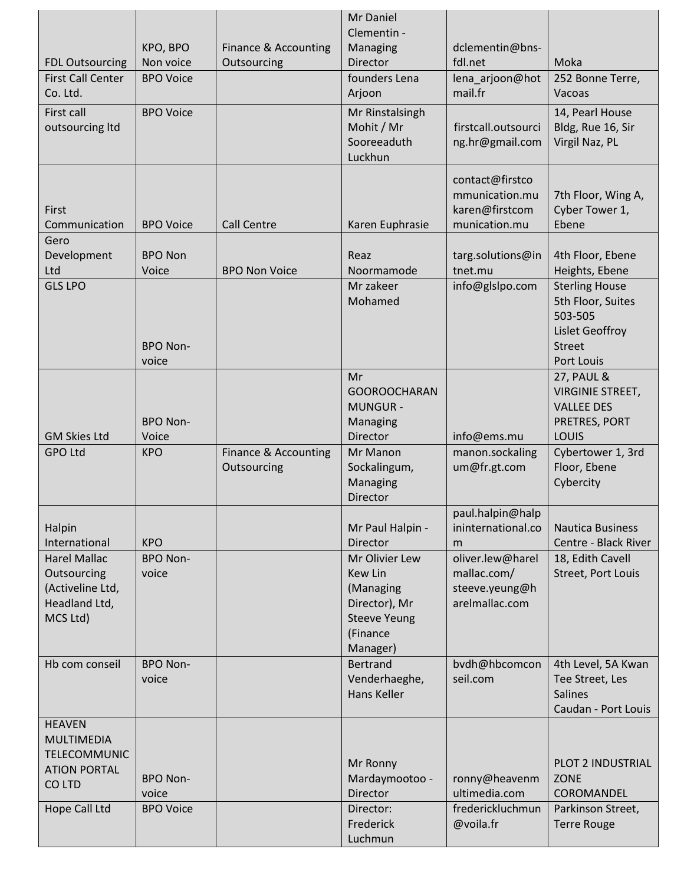|                                                                                            | KPO, BPO                 | Finance & Accounting | Mr Daniel<br>Clementin -<br>Managing                                                 | dclementin@bns-                                                      |                                                                                                                |
|--------------------------------------------------------------------------------------------|--------------------------|----------------------|--------------------------------------------------------------------------------------|----------------------------------------------------------------------|----------------------------------------------------------------------------------------------------------------|
| <b>FDL Outsourcing</b>                                                                     | Non voice                | Outsourcing          | Director                                                                             | fdl.net                                                              | Moka                                                                                                           |
| <b>First Call Center</b><br>Co. Ltd.                                                       | <b>BPO Voice</b>         |                      | founders Lena<br>Arjoon                                                              | lena_arjoon@hot<br>mail.fr                                           | 252 Bonne Terre,<br>Vacoas                                                                                     |
| First call<br>outsourcing Itd                                                              | <b>BPO Voice</b>         |                      | Mr Rinstalsingh<br>Mohit / Mr<br>Sooreeaduth<br>Luckhun                              | firstcall.outsourci<br>ng.hr@gmail.com                               | 14, Pearl House<br>Bldg, Rue 16, Sir<br>Virgil Naz, PL                                                         |
| First<br>Communication                                                                     | <b>BPO Voice</b>         | <b>Call Centre</b>   | Karen Euphrasie                                                                      | contact@firstco<br>mmunication.mu<br>karen@firstcom<br>munication.mu | 7th Floor, Wing A,<br>Cyber Tower 1,<br>Ebene                                                                  |
| Gero<br>Development<br>Ltd                                                                 | <b>BPO Non</b><br>Voice  | <b>BPO Non Voice</b> | Reaz<br>Noormamode                                                                   | targ.solutions@in<br>tnet.mu                                         | 4th Floor, Ebene<br>Heights, Ebene                                                                             |
| <b>GLS LPO</b>                                                                             | <b>BPO Non-</b><br>voice |                      | Mr zakeer<br>Mohamed                                                                 | info@glslpo.com                                                      | <b>Sterling House</b><br>5th Floor, Suites<br>503-505<br><b>Lislet Geoffroy</b><br><b>Street</b><br>Port Louis |
| <b>GM Skies Ltd</b>                                                                        | <b>BPO Non-</b><br>Voice |                      | Mr<br><b>GOOROOCHARAN</b><br><b>MUNGUR-</b><br>Managing<br>Director                  | info@ems.mu                                                          | <b>27, PAUL &amp;</b><br><b>VIRGINIE STREET,</b><br><b>VALLEE DES</b><br>PRETRES, PORT<br>LOUIS                |
| <b>GPO Ltd</b>                                                                             | <b>KPO</b>               | Finance & Accounting | Mr Manon                                                                             | manon.sockaling                                                      | Cybertower 1, 3rd                                                                                              |
|                                                                                            |                          | Outsourcing          | Sockalingum,<br>Managing<br>Director                                                 | um@fr.gt.com                                                         | Floor, Ebene<br>Cybercity                                                                                      |
| Halpin<br>International                                                                    | <b>KPO</b>               |                      | Mr Paul Halpin -<br><b>Director</b>                                                  | paul.halpin@halp<br>ininternational.co<br>m                          | <b>Nautica Business</b><br>Centre - Black River                                                                |
| <b>Harel Mallac</b>                                                                        | <b>BPO Non-</b>          |                      | Mr Olivier Lew                                                                       | oliver.lew@harel                                                     | 18, Edith Cavell                                                                                               |
| Outsourcing<br>(Activeline Ltd,<br>Headland Ltd,<br>MCS Ltd)                               | voice                    |                      | Kew Lin<br>(Managing<br>Director), Mr<br><b>Steeve Yeung</b><br>(Finance<br>Manager) | mallac.com/<br>steeve.yeung@h<br>arelmallac.com                      | Street, Port Louis                                                                                             |
| Hb com conseil                                                                             | <b>BPO Non-</b><br>voice |                      | <b>Bertrand</b><br>Venderhaeghe,<br>Hans Keller                                      | bvdh@hbcomcon<br>seil.com                                            | 4th Level, 5A Kwan<br>Tee Street, Les<br><b>Salines</b><br>Caudan - Port Louis                                 |
| <b>HEAVEN</b><br><b>MULTIMEDIA</b><br><b>TELECOMMUNIC</b><br><b>ATION PORTAL</b><br>CO LTD | <b>BPO Non-</b><br>voice |                      | Mr Ronny<br>Mardaymootoo -<br><b>Director</b>                                        | ronny@heavenm<br>ultimedia.com                                       | PLOT 2 INDUSTRIAL<br>ZONE<br><b>COROMANDEL</b>                                                                 |
| Hope Call Ltd                                                                              | <b>BPO Voice</b>         |                      | Director:<br>Frederick<br>Luchmun                                                    | frederickluchmun<br>@voila.fr                                        | Parkinson Street,<br><b>Terre Rouge</b>                                                                        |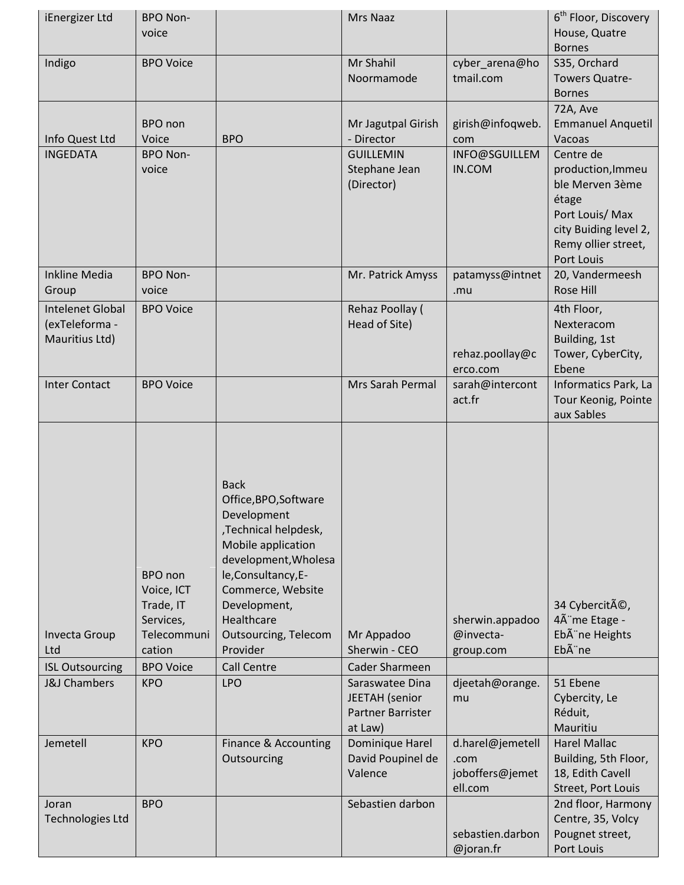| iEnergizer Ltd                                                                   | <b>BPO Non-</b>                                                                                            |                                                                                                                                                                                                                                                                                    | Mrs Naaz                                                                                                       |                                                                    | 6 <sup>th</sup> Floor, Discovery                                                                   |
|----------------------------------------------------------------------------------|------------------------------------------------------------------------------------------------------------|------------------------------------------------------------------------------------------------------------------------------------------------------------------------------------------------------------------------------------------------------------------------------------|----------------------------------------------------------------------------------------------------------------|--------------------------------------------------------------------|----------------------------------------------------------------------------------------------------|
|                                                                                  | voice                                                                                                      |                                                                                                                                                                                                                                                                                    |                                                                                                                |                                                                    | House, Quatre                                                                                      |
|                                                                                  | <b>BPO Voice</b>                                                                                           |                                                                                                                                                                                                                                                                                    | Mr Shahil                                                                                                      |                                                                    | <b>Bornes</b>                                                                                      |
| Indigo                                                                           |                                                                                                            |                                                                                                                                                                                                                                                                                    | Noormamode                                                                                                     | cyber_arena@ho<br>tmail.com                                        | S35, Orchard<br><b>Towers Quatre-</b>                                                              |
|                                                                                  |                                                                                                            |                                                                                                                                                                                                                                                                                    |                                                                                                                |                                                                    | <b>Bornes</b>                                                                                      |
|                                                                                  |                                                                                                            |                                                                                                                                                                                                                                                                                    |                                                                                                                |                                                                    |                                                                                                    |
|                                                                                  | <b>BPO</b> non                                                                                             |                                                                                                                                                                                                                                                                                    |                                                                                                                | girish@infoqweb.                                                   | 72A, Ave                                                                                           |
| Info Quest Ltd                                                                   | Voice                                                                                                      | <b>BPO</b>                                                                                                                                                                                                                                                                         | Mr Jagutpal Girish<br>- Director                                                                               |                                                                    | <b>Emmanuel Anquetil</b><br>Vacoas                                                                 |
| <b>INGEDATA</b>                                                                  | <b>BPO Non-</b>                                                                                            |                                                                                                                                                                                                                                                                                    | <b>GUILLEMIN</b>                                                                                               | com<br>INFO@SGUILLEM                                               | Centre de                                                                                          |
|                                                                                  | voice                                                                                                      |                                                                                                                                                                                                                                                                                    | Stephane Jean                                                                                                  | IN.COM                                                             | production, Immeu                                                                                  |
|                                                                                  |                                                                                                            |                                                                                                                                                                                                                                                                                    | (Director)                                                                                                     |                                                                    | ble Merven 3ème                                                                                    |
|                                                                                  |                                                                                                            |                                                                                                                                                                                                                                                                                    |                                                                                                                |                                                                    | étage                                                                                              |
|                                                                                  |                                                                                                            |                                                                                                                                                                                                                                                                                    |                                                                                                                |                                                                    | Port Louis/ Max                                                                                    |
|                                                                                  |                                                                                                            |                                                                                                                                                                                                                                                                                    |                                                                                                                |                                                                    | city Buiding level 2,                                                                              |
|                                                                                  |                                                                                                            |                                                                                                                                                                                                                                                                                    |                                                                                                                |                                                                    | Remy ollier street,                                                                                |
|                                                                                  |                                                                                                            |                                                                                                                                                                                                                                                                                    |                                                                                                                |                                                                    | Port Louis                                                                                         |
| <b>Inkline Media</b>                                                             | <b>BPO Non-</b>                                                                                            |                                                                                                                                                                                                                                                                                    | Mr. Patrick Amyss                                                                                              | patamyss@intnet                                                    | 20, Vandermeesh                                                                                    |
| Group                                                                            | voice                                                                                                      |                                                                                                                                                                                                                                                                                    |                                                                                                                | .mu                                                                | Rose Hill                                                                                          |
| Intelenet Global                                                                 | <b>BPO Voice</b>                                                                                           |                                                                                                                                                                                                                                                                                    | Rehaz Poollay (                                                                                                |                                                                    | 4th Floor,                                                                                         |
| (exTeleforma -                                                                   |                                                                                                            |                                                                                                                                                                                                                                                                                    | Head of Site)                                                                                                  |                                                                    | Nexteracom                                                                                         |
| Mauritius Ltd)                                                                   |                                                                                                            |                                                                                                                                                                                                                                                                                    |                                                                                                                |                                                                    | Building, 1st                                                                                      |
|                                                                                  |                                                                                                            |                                                                                                                                                                                                                                                                                    |                                                                                                                | rehaz.poollay@c                                                    | Tower, CyberCity,                                                                                  |
|                                                                                  |                                                                                                            |                                                                                                                                                                                                                                                                                    |                                                                                                                | erco.com                                                           | Ebene                                                                                              |
| <b>Inter Contact</b>                                                             | <b>BPO Voice</b>                                                                                           |                                                                                                                                                                                                                                                                                    | Mrs Sarah Permal                                                                                               | sarah@intercont                                                    | Informatics Park, La                                                                               |
|                                                                                  |                                                                                                            |                                                                                                                                                                                                                                                                                    |                                                                                                                | act.fr                                                             | Tour Keonig, Pointe                                                                                |
|                                                                                  |                                                                                                            |                                                                                                                                                                                                                                                                                    |                                                                                                                |                                                                    | aux Sables                                                                                         |
| <b>Invecta Group</b><br>Ltd<br><b>ISL Outsourcing</b><br><b>J&amp;J Chambers</b> | BPO non<br>Voice, ICT<br>Trade, IT<br>Services,<br>Telecommuni<br>cation<br><b>BPO Voice</b><br><b>KPO</b> | <b>Back</b><br>Office, BPO, Software<br>Development<br>,Technical helpdesk,<br>Mobile application<br>development, Wholesa<br>le, Consultancy, E-<br>Commerce, Website<br>Development,<br>Healthcare<br><b>Outsourcing, Telecom</b><br>Provider<br><b>Call Centre</b><br><b>LPO</b> | Mr Appadoo<br>Sherwin - CEO<br><b>Cader Sharmeen</b><br>Saraswatee Dina<br>JEETAH (senior<br>Partner Barrister | sherwin.appadoo<br>@invecta-<br>group.com<br>djeetah@orange.<br>mu | 34 Cybercité,<br>4Ã me Etage -<br>Ebà ne Heights<br>Ebà ne<br>51 Ebene<br>Cybercity, Le<br>Réduit, |
|                                                                                  |                                                                                                            |                                                                                                                                                                                                                                                                                    | at Law)                                                                                                        |                                                                    | Mauritiu                                                                                           |
| Jemetell                                                                         | <b>KPO</b>                                                                                                 | Finance & Accounting                                                                                                                                                                                                                                                               | Dominique Harel                                                                                                | d.harel@jemetell                                                   | <b>Harel Mallac</b>                                                                                |
|                                                                                  |                                                                                                            | Outsourcing                                                                                                                                                                                                                                                                        | David Poupinel de                                                                                              | .com                                                               | Building, 5th Floor,                                                                               |
|                                                                                  |                                                                                                            |                                                                                                                                                                                                                                                                                    | Valence                                                                                                        | joboffers@jemet                                                    | 18, Edith Cavell                                                                                   |
|                                                                                  |                                                                                                            |                                                                                                                                                                                                                                                                                    |                                                                                                                | ell.com                                                            | Street, Port Louis                                                                                 |
| Joran                                                                            | <b>BPO</b>                                                                                                 |                                                                                                                                                                                                                                                                                    | Sebastien darbon                                                                                               |                                                                    | 2nd floor, Harmony                                                                                 |
| <b>Technologies Ltd</b>                                                          |                                                                                                            |                                                                                                                                                                                                                                                                                    |                                                                                                                |                                                                    | Centre, 35, Volcy                                                                                  |
|                                                                                  |                                                                                                            |                                                                                                                                                                                                                                                                                    |                                                                                                                | sebastien.darbon                                                   | Pougnet street,                                                                                    |
|                                                                                  |                                                                                                            |                                                                                                                                                                                                                                                                                    |                                                                                                                | @joran.fr                                                          | Port Louis                                                                                         |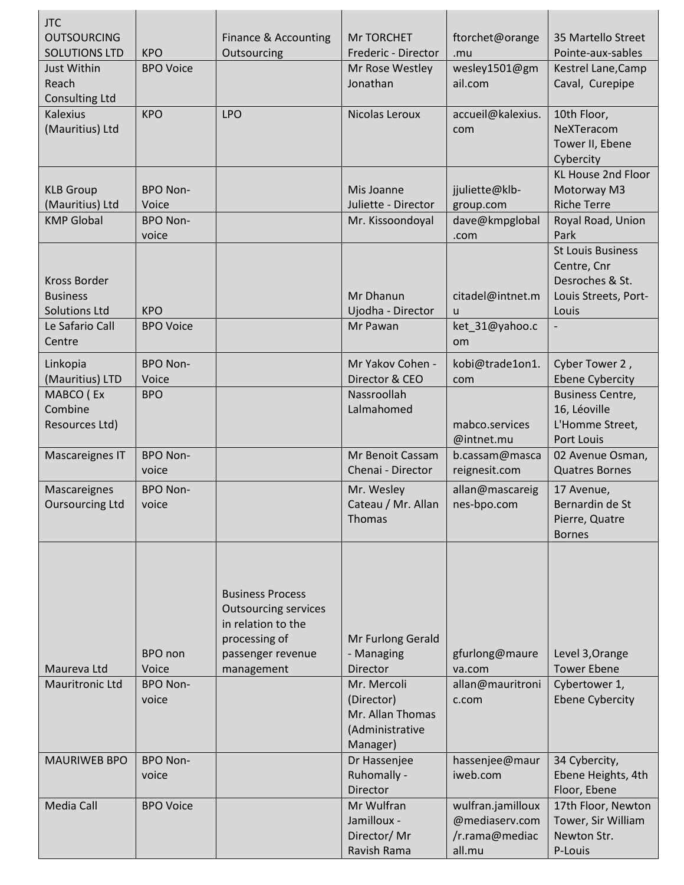| <b>JTC</b>                                 |                          |                                     |                                   |                        |                                         |
|--------------------------------------------|--------------------------|-------------------------------------|-----------------------------------|------------------------|-----------------------------------------|
| <b>OUTSOURCING</b><br><b>SOLUTIONS LTD</b> | <b>KPO</b>               | Finance & Accounting<br>Outsourcing | Mr TORCHET<br>Frederic - Director | ftorchet@orange<br>.mu | 35 Martello Street<br>Pointe-aux-sables |
| Just Within                                | <b>BPO Voice</b>         |                                     | Mr Rose Westley                   | wesley1501@gm          | Kestrel Lane, Camp                      |
| Reach                                      |                          |                                     | Jonathan                          | ail.com                | Caval, Curepipe                         |
| <b>Consulting Ltd</b>                      |                          |                                     |                                   |                        |                                         |
| <b>Kalexius</b>                            | <b>KPO</b>               | <b>LPO</b>                          | Nicolas Leroux                    | accueil@kalexius.      | 10th Floor,                             |
| (Mauritius) Ltd                            |                          |                                     |                                   | com                    | NeXTeracom                              |
|                                            |                          |                                     |                                   |                        | Tower II, Ebene                         |
|                                            |                          |                                     |                                   |                        | Cybercity                               |
|                                            |                          |                                     |                                   |                        | <b>KL House 2nd Floor</b>               |
| <b>KLB Group</b>                           | <b>BPO Non-</b>          |                                     | Mis Joanne                        | jjuliette@klb-         | Motorway M3                             |
| (Mauritius) Ltd                            | Voice                    |                                     | Juliette - Director               | group.com              | <b>Riche Terre</b>                      |
| <b>KMP Global</b>                          | <b>BPO Non-</b><br>voice |                                     | Mr. Kissoondoyal                  | dave@kmpglobal         | Royal Road, Union<br>Park               |
|                                            |                          |                                     |                                   | .com                   | <b>St Louis Business</b>                |
|                                            |                          |                                     |                                   |                        | Centre, Cnr                             |
| <b>Kross Border</b>                        |                          |                                     |                                   |                        | Desroches & St.                         |
| <b>Business</b>                            |                          |                                     | Mr Dhanun                         | citadel@intnet.m       | Louis Streets, Port-                    |
| <b>Solutions Ltd</b>                       | <b>KPO</b>               |                                     | Ujodha - Director                 | u                      | Louis                                   |
| Le Safario Call                            | <b>BPO Voice</b>         |                                     | Mr Pawan                          | ket_31@yahoo.c         |                                         |
| Centre                                     |                          |                                     |                                   | om                     |                                         |
| Linkopia                                   | <b>BPO Non-</b>          |                                     | Mr Yakov Cohen -                  | kobi@trade1on1.        | Cyber Tower 2,                          |
| (Mauritius) LTD                            | Voice                    |                                     | Director & CEO                    | com                    | <b>Ebene Cybercity</b>                  |
| MABCO (Ex                                  | <b>BPO</b>               |                                     | Nassroollah                       |                        | <b>Business Centre,</b>                 |
| Combine                                    |                          |                                     | Lalmahomed                        |                        | 16, Léoville                            |
| Resources Ltd)                             |                          |                                     |                                   | mabco.services         | L'Homme Street,                         |
|                                            |                          |                                     |                                   | @intnet.mu             | <b>Port Louis</b>                       |
| Mascareignes IT                            | <b>BPO Non-</b>          |                                     | Mr Benoit Cassam                  | b.cassam@masca         | 02 Avenue Osman,                        |
|                                            | voice                    |                                     | Chenai - Director                 | reignesit.com          | <b>Quatres Bornes</b>                   |
| Mascareignes                               | <b>BPO Non-</b>          |                                     | Mr. Wesley                        | allan@mascareig        | 17 Avenue,                              |
| <b>Oursourcing Ltd</b>                     | voice                    |                                     | Cateau / Mr. Allan                | nes-bpo.com            | Bernardin de St                         |
|                                            |                          |                                     | Thomas                            |                        | Pierre, Quatre                          |
|                                            |                          |                                     |                                   |                        | <b>Bornes</b>                           |
|                                            |                          |                                     |                                   |                        |                                         |
|                                            |                          |                                     |                                   |                        |                                         |
|                                            |                          | <b>Business Process</b>             |                                   |                        |                                         |
|                                            |                          | <b>Outsourcing services</b>         |                                   |                        |                                         |
|                                            |                          | in relation to the                  |                                   |                        |                                         |
|                                            |                          | processing of                       | Mr Furlong Gerald                 |                        |                                         |
|                                            | BPO non                  | passenger revenue                   | - Managing                        | gfurlong@maure         | Level 3, Orange                         |
| Maureva Ltd                                | Voice                    | management                          | Director                          | va.com                 | <b>Tower Ebene</b>                      |
| <b>Mauritronic Ltd</b>                     | <b>BPO Non-</b>          |                                     | Mr. Mercoli                       | allan@mauritroni       | Cybertower 1,                           |
|                                            | voice                    |                                     | (Director)                        | c.com                  | <b>Ebene Cybercity</b>                  |
|                                            |                          |                                     | Mr. Allan Thomas                  |                        |                                         |
|                                            |                          |                                     | (Administrative<br>Manager)       |                        |                                         |
| <b>MAURIWEB BPO</b>                        | <b>BPO Non-</b>          |                                     | Dr Hassenjee                      | hassenjee@maur         | 34 Cybercity,                           |
|                                            | voice                    |                                     | Ruhomally -                       | iweb.com               | Ebene Heights, 4th                      |
|                                            |                          |                                     | Director                          |                        | Floor, Ebene                            |
| Media Call                                 | <b>BPO Voice</b>         |                                     | Mr Wulfran                        | wulfran.jamilloux      | 17th Floor, Newton                      |
|                                            |                          |                                     | Jamilloux -                       | @mediaserv.com         | Tower, Sir William                      |
|                                            |                          |                                     | Director/Mr                       | /r.rama@mediac         | Newton Str.                             |
|                                            |                          |                                     | Ravish Rama                       | all.mu                 | P-Louis                                 |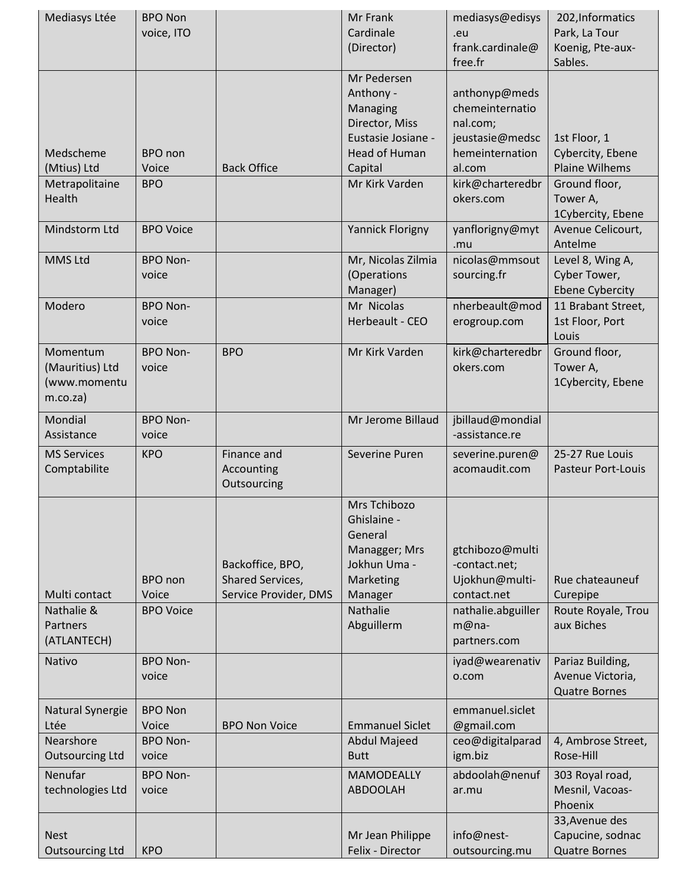| (Director)<br>frank.cardinale@<br>Koenig, Pte-aux-<br>Sables.<br>free.fr<br>Mr Pedersen<br>Anthony -<br>anthonyp@meds<br>chemeinternatio<br>Managing<br>Director, Miss<br>nal.com;<br>Eustasie Josiane -<br>jeustasie@medsc<br>1st Floor, 1<br>Medscheme<br>BPO non<br>Head of Human<br>hemeinternation<br>Cybercity, Ebene<br><b>Plaine Wilhems</b><br>(Mtius) Ltd<br><b>Back Office</b><br>Voice<br>Capital<br>al.com<br>Mr Kirk Varden<br>Ground floor,<br>Metrapolitaine<br><b>BPO</b><br>kirk@charteredbr<br>Health<br>okers.com<br>Tower A,<br>1Cybercity, Ebene<br>Mindstorm Ltd<br>Avenue Celicourt,<br><b>BPO Voice</b><br>Yannick Florigny<br>yanflorigny@myt<br>Antelme<br>.mu<br>MMS Ltd<br><b>BPO Non-</b><br>Mr, Nicolas Zilmia<br>nicolas@mmsout<br>Level 8, Wing A,<br>(Operations<br>Cyber Tower,<br>voice<br>sourcing.fr<br>Manager)<br><b>Ebene Cybercity</b><br>Mr Nicolas<br>11 Brabant Street,<br>Modero<br><b>BPO Non-</b><br>nherbeault@mod<br>Herbeault - CEO<br>1st Floor, Port<br>voice<br>erogroup.com<br>Louis<br><b>BPO</b><br>Momentum<br><b>BPO Non-</b><br>Mr Kirk Varden<br>kirk@charteredbr<br>Ground floor,<br>okers.com<br>(Mauritius) Ltd<br>voice<br>Tower A,<br>(www.momentu<br>1Cybercity, Ebene<br>$m.co.za$ )<br>Mr Jerome Billaud<br>Mondial<br><b>BPO Non-</b><br>jbillaud@mondial<br>-assistance.re<br>Assistance<br>voice<br>25-27 Rue Louis<br><b>MS Services</b><br><b>KPO</b><br>Finance and<br>Severine Puren<br>severine.puren@<br>acomaudit.com<br><b>Pasteur Port-Louis</b><br>Comptabilite<br>Accounting<br>Outsourcing<br>Mrs Tchibozo<br>Ghislaine -<br>General<br>Managger; Mrs<br>gtchibozo@multi<br>Jokhun Uma -<br>Backoffice, BPO,<br>-contact.net;<br><b>BPO</b> non<br>Shared Services,<br>Ujokhun@multi-<br>Marketing<br>Rue chateauneuf<br>Voice<br>Service Provider, DMS<br>Multi contact<br>Manager<br>contact.net<br>Curepipe<br>Nathalie &<br><b>BPO Voice</b><br>Nathalie<br>nathalie.abguiller<br>Route Royale, Trou<br>Abguillerm<br>aux Biches<br>Partners<br>$m@na-$<br>(ATLANTECH)<br>partners.com<br>Nativo<br><b>BPO Non-</b><br>Pariaz Building,<br>iyad@wearenativ<br>Avenue Victoria,<br>voice<br>o.com<br><b>Quatre Bornes</b><br><b>BPO Non</b><br>Natural Synergie<br>emmanuel.siclet<br>Ltée<br>Voice<br><b>BPO Non Voice</b><br><b>Emmanuel Siclet</b><br>@gmail.com<br>Nearshore<br><b>BPO Non-</b><br><b>Abdul Majeed</b><br>ceo@digitalparad<br>4, Ambrose Street,<br>igm.biz<br><b>Outsourcing Ltd</b><br>Rose-Hill<br>voice<br><b>Butt</b><br>Nenufar<br><b>BPO Non-</b><br><b>MAMODEALLY</b><br>abdoolah@nenuf<br>303 Royal road,<br>technologies Ltd<br><b>ABDOOLAH</b><br>Mesnil, Vacoas-<br>voice<br>ar.mu<br>Phoenix<br>33, Avenue des<br>Mr Jean Philippe<br>info@nest-<br>Capucine, sodnac<br><b>Nest</b> | Mediasys Ltée          | <b>BPO Non</b><br>voice, ITO | Mr Frank<br>Cardinale | mediasys@edisys<br>.eu | 202, Informatics<br>Park, La Tour |
|-------------------------------------------------------------------------------------------------------------------------------------------------------------------------------------------------------------------------------------------------------------------------------------------------------------------------------------------------------------------------------------------------------------------------------------------------------------------------------------------------------------------------------------------------------------------------------------------------------------------------------------------------------------------------------------------------------------------------------------------------------------------------------------------------------------------------------------------------------------------------------------------------------------------------------------------------------------------------------------------------------------------------------------------------------------------------------------------------------------------------------------------------------------------------------------------------------------------------------------------------------------------------------------------------------------------------------------------------------------------------------------------------------------------------------------------------------------------------------------------------------------------------------------------------------------------------------------------------------------------------------------------------------------------------------------------------------------------------------------------------------------------------------------------------------------------------------------------------------------------------------------------------------------------------------------------------------------------------------------------------------------------------------------------------------------------------------------------------------------------------------------------------------------------------------------------------------------------------------------------------------------------------------------------------------------------------------------------------------------------------------------------------------------------------------------------------------------------------------------------------------------------------------------------------------------------------------------------------------------------------------------------------------------------------------------------------------------------------------------------------------------------------------------------------------------|------------------------|------------------------------|-----------------------|------------------------|-----------------------------------|
|                                                                                                                                                                                                                                                                                                                                                                                                                                                                                                                                                                                                                                                                                                                                                                                                                                                                                                                                                                                                                                                                                                                                                                                                                                                                                                                                                                                                                                                                                                                                                                                                                                                                                                                                                                                                                                                                                                                                                                                                                                                                                                                                                                                                                                                                                                                                                                                                                                                                                                                                                                                                                                                                                                                                                                                                             |                        |                              |                       |                        |                                   |
|                                                                                                                                                                                                                                                                                                                                                                                                                                                                                                                                                                                                                                                                                                                                                                                                                                                                                                                                                                                                                                                                                                                                                                                                                                                                                                                                                                                                                                                                                                                                                                                                                                                                                                                                                                                                                                                                                                                                                                                                                                                                                                                                                                                                                                                                                                                                                                                                                                                                                                                                                                                                                                                                                                                                                                                                             |                        |                              |                       |                        |                                   |
|                                                                                                                                                                                                                                                                                                                                                                                                                                                                                                                                                                                                                                                                                                                                                                                                                                                                                                                                                                                                                                                                                                                                                                                                                                                                                                                                                                                                                                                                                                                                                                                                                                                                                                                                                                                                                                                                                                                                                                                                                                                                                                                                                                                                                                                                                                                                                                                                                                                                                                                                                                                                                                                                                                                                                                                                             |                        |                              |                       |                        |                                   |
|                                                                                                                                                                                                                                                                                                                                                                                                                                                                                                                                                                                                                                                                                                                                                                                                                                                                                                                                                                                                                                                                                                                                                                                                                                                                                                                                                                                                                                                                                                                                                                                                                                                                                                                                                                                                                                                                                                                                                                                                                                                                                                                                                                                                                                                                                                                                                                                                                                                                                                                                                                                                                                                                                                                                                                                                             |                        |                              |                       |                        |                                   |
|                                                                                                                                                                                                                                                                                                                                                                                                                                                                                                                                                                                                                                                                                                                                                                                                                                                                                                                                                                                                                                                                                                                                                                                                                                                                                                                                                                                                                                                                                                                                                                                                                                                                                                                                                                                                                                                                                                                                                                                                                                                                                                                                                                                                                                                                                                                                                                                                                                                                                                                                                                                                                                                                                                                                                                                                             |                        |                              |                       |                        |                                   |
|                                                                                                                                                                                                                                                                                                                                                                                                                                                                                                                                                                                                                                                                                                                                                                                                                                                                                                                                                                                                                                                                                                                                                                                                                                                                                                                                                                                                                                                                                                                                                                                                                                                                                                                                                                                                                                                                                                                                                                                                                                                                                                                                                                                                                                                                                                                                                                                                                                                                                                                                                                                                                                                                                                                                                                                                             |                        |                              |                       |                        |                                   |
|                                                                                                                                                                                                                                                                                                                                                                                                                                                                                                                                                                                                                                                                                                                                                                                                                                                                                                                                                                                                                                                                                                                                                                                                                                                                                                                                                                                                                                                                                                                                                                                                                                                                                                                                                                                                                                                                                                                                                                                                                                                                                                                                                                                                                                                                                                                                                                                                                                                                                                                                                                                                                                                                                                                                                                                                             |                        |                              |                       |                        |                                   |
|                                                                                                                                                                                                                                                                                                                                                                                                                                                                                                                                                                                                                                                                                                                                                                                                                                                                                                                                                                                                                                                                                                                                                                                                                                                                                                                                                                                                                                                                                                                                                                                                                                                                                                                                                                                                                                                                                                                                                                                                                                                                                                                                                                                                                                                                                                                                                                                                                                                                                                                                                                                                                                                                                                                                                                                                             |                        |                              |                       |                        |                                   |
|                                                                                                                                                                                                                                                                                                                                                                                                                                                                                                                                                                                                                                                                                                                                                                                                                                                                                                                                                                                                                                                                                                                                                                                                                                                                                                                                                                                                                                                                                                                                                                                                                                                                                                                                                                                                                                                                                                                                                                                                                                                                                                                                                                                                                                                                                                                                                                                                                                                                                                                                                                                                                                                                                                                                                                                                             |                        |                              |                       |                        |                                   |
|                                                                                                                                                                                                                                                                                                                                                                                                                                                                                                                                                                                                                                                                                                                                                                                                                                                                                                                                                                                                                                                                                                                                                                                                                                                                                                                                                                                                                                                                                                                                                                                                                                                                                                                                                                                                                                                                                                                                                                                                                                                                                                                                                                                                                                                                                                                                                                                                                                                                                                                                                                                                                                                                                                                                                                                                             |                        |                              |                       |                        |                                   |
|                                                                                                                                                                                                                                                                                                                                                                                                                                                                                                                                                                                                                                                                                                                                                                                                                                                                                                                                                                                                                                                                                                                                                                                                                                                                                                                                                                                                                                                                                                                                                                                                                                                                                                                                                                                                                                                                                                                                                                                                                                                                                                                                                                                                                                                                                                                                                                                                                                                                                                                                                                                                                                                                                                                                                                                                             |                        |                              |                       |                        |                                   |
|                                                                                                                                                                                                                                                                                                                                                                                                                                                                                                                                                                                                                                                                                                                                                                                                                                                                                                                                                                                                                                                                                                                                                                                                                                                                                                                                                                                                                                                                                                                                                                                                                                                                                                                                                                                                                                                                                                                                                                                                                                                                                                                                                                                                                                                                                                                                                                                                                                                                                                                                                                                                                                                                                                                                                                                                             |                        |                              |                       |                        |                                   |
|                                                                                                                                                                                                                                                                                                                                                                                                                                                                                                                                                                                                                                                                                                                                                                                                                                                                                                                                                                                                                                                                                                                                                                                                                                                                                                                                                                                                                                                                                                                                                                                                                                                                                                                                                                                                                                                                                                                                                                                                                                                                                                                                                                                                                                                                                                                                                                                                                                                                                                                                                                                                                                                                                                                                                                                                             |                        |                              |                       |                        |                                   |
|                                                                                                                                                                                                                                                                                                                                                                                                                                                                                                                                                                                                                                                                                                                                                                                                                                                                                                                                                                                                                                                                                                                                                                                                                                                                                                                                                                                                                                                                                                                                                                                                                                                                                                                                                                                                                                                                                                                                                                                                                                                                                                                                                                                                                                                                                                                                                                                                                                                                                                                                                                                                                                                                                                                                                                                                             |                        |                              |                       |                        |                                   |
|                                                                                                                                                                                                                                                                                                                                                                                                                                                                                                                                                                                                                                                                                                                                                                                                                                                                                                                                                                                                                                                                                                                                                                                                                                                                                                                                                                                                                                                                                                                                                                                                                                                                                                                                                                                                                                                                                                                                                                                                                                                                                                                                                                                                                                                                                                                                                                                                                                                                                                                                                                                                                                                                                                                                                                                                             |                        |                              |                       |                        |                                   |
|                                                                                                                                                                                                                                                                                                                                                                                                                                                                                                                                                                                                                                                                                                                                                                                                                                                                                                                                                                                                                                                                                                                                                                                                                                                                                                                                                                                                                                                                                                                                                                                                                                                                                                                                                                                                                                                                                                                                                                                                                                                                                                                                                                                                                                                                                                                                                                                                                                                                                                                                                                                                                                                                                                                                                                                                             |                        |                              |                       |                        |                                   |
|                                                                                                                                                                                                                                                                                                                                                                                                                                                                                                                                                                                                                                                                                                                                                                                                                                                                                                                                                                                                                                                                                                                                                                                                                                                                                                                                                                                                                                                                                                                                                                                                                                                                                                                                                                                                                                                                                                                                                                                                                                                                                                                                                                                                                                                                                                                                                                                                                                                                                                                                                                                                                                                                                                                                                                                                             |                        |                              |                       |                        |                                   |
|                                                                                                                                                                                                                                                                                                                                                                                                                                                                                                                                                                                                                                                                                                                                                                                                                                                                                                                                                                                                                                                                                                                                                                                                                                                                                                                                                                                                                                                                                                                                                                                                                                                                                                                                                                                                                                                                                                                                                                                                                                                                                                                                                                                                                                                                                                                                                                                                                                                                                                                                                                                                                                                                                                                                                                                                             |                        |                              |                       |                        |                                   |
|                                                                                                                                                                                                                                                                                                                                                                                                                                                                                                                                                                                                                                                                                                                                                                                                                                                                                                                                                                                                                                                                                                                                                                                                                                                                                                                                                                                                                                                                                                                                                                                                                                                                                                                                                                                                                                                                                                                                                                                                                                                                                                                                                                                                                                                                                                                                                                                                                                                                                                                                                                                                                                                                                                                                                                                                             |                        |                              |                       |                        |                                   |
|                                                                                                                                                                                                                                                                                                                                                                                                                                                                                                                                                                                                                                                                                                                                                                                                                                                                                                                                                                                                                                                                                                                                                                                                                                                                                                                                                                                                                                                                                                                                                                                                                                                                                                                                                                                                                                                                                                                                                                                                                                                                                                                                                                                                                                                                                                                                                                                                                                                                                                                                                                                                                                                                                                                                                                                                             |                        |                              |                       |                        |                                   |
|                                                                                                                                                                                                                                                                                                                                                                                                                                                                                                                                                                                                                                                                                                                                                                                                                                                                                                                                                                                                                                                                                                                                                                                                                                                                                                                                                                                                                                                                                                                                                                                                                                                                                                                                                                                                                                                                                                                                                                                                                                                                                                                                                                                                                                                                                                                                                                                                                                                                                                                                                                                                                                                                                                                                                                                                             |                        |                              |                       |                        |                                   |
|                                                                                                                                                                                                                                                                                                                                                                                                                                                                                                                                                                                                                                                                                                                                                                                                                                                                                                                                                                                                                                                                                                                                                                                                                                                                                                                                                                                                                                                                                                                                                                                                                                                                                                                                                                                                                                                                                                                                                                                                                                                                                                                                                                                                                                                                                                                                                                                                                                                                                                                                                                                                                                                                                                                                                                                                             |                        |                              |                       |                        |                                   |
|                                                                                                                                                                                                                                                                                                                                                                                                                                                                                                                                                                                                                                                                                                                                                                                                                                                                                                                                                                                                                                                                                                                                                                                                                                                                                                                                                                                                                                                                                                                                                                                                                                                                                                                                                                                                                                                                                                                                                                                                                                                                                                                                                                                                                                                                                                                                                                                                                                                                                                                                                                                                                                                                                                                                                                                                             |                        |                              |                       |                        |                                   |
|                                                                                                                                                                                                                                                                                                                                                                                                                                                                                                                                                                                                                                                                                                                                                                                                                                                                                                                                                                                                                                                                                                                                                                                                                                                                                                                                                                                                                                                                                                                                                                                                                                                                                                                                                                                                                                                                                                                                                                                                                                                                                                                                                                                                                                                                                                                                                                                                                                                                                                                                                                                                                                                                                                                                                                                                             |                        |                              |                       |                        |                                   |
|                                                                                                                                                                                                                                                                                                                                                                                                                                                                                                                                                                                                                                                                                                                                                                                                                                                                                                                                                                                                                                                                                                                                                                                                                                                                                                                                                                                                                                                                                                                                                                                                                                                                                                                                                                                                                                                                                                                                                                                                                                                                                                                                                                                                                                                                                                                                                                                                                                                                                                                                                                                                                                                                                                                                                                                                             |                        |                              |                       |                        |                                   |
|                                                                                                                                                                                                                                                                                                                                                                                                                                                                                                                                                                                                                                                                                                                                                                                                                                                                                                                                                                                                                                                                                                                                                                                                                                                                                                                                                                                                                                                                                                                                                                                                                                                                                                                                                                                                                                                                                                                                                                                                                                                                                                                                                                                                                                                                                                                                                                                                                                                                                                                                                                                                                                                                                                                                                                                                             |                        |                              |                       |                        |                                   |
|                                                                                                                                                                                                                                                                                                                                                                                                                                                                                                                                                                                                                                                                                                                                                                                                                                                                                                                                                                                                                                                                                                                                                                                                                                                                                                                                                                                                                                                                                                                                                                                                                                                                                                                                                                                                                                                                                                                                                                                                                                                                                                                                                                                                                                                                                                                                                                                                                                                                                                                                                                                                                                                                                                                                                                                                             |                        |                              |                       |                        |                                   |
|                                                                                                                                                                                                                                                                                                                                                                                                                                                                                                                                                                                                                                                                                                                                                                                                                                                                                                                                                                                                                                                                                                                                                                                                                                                                                                                                                                                                                                                                                                                                                                                                                                                                                                                                                                                                                                                                                                                                                                                                                                                                                                                                                                                                                                                                                                                                                                                                                                                                                                                                                                                                                                                                                                                                                                                                             |                        |                              |                       |                        |                                   |
|                                                                                                                                                                                                                                                                                                                                                                                                                                                                                                                                                                                                                                                                                                                                                                                                                                                                                                                                                                                                                                                                                                                                                                                                                                                                                                                                                                                                                                                                                                                                                                                                                                                                                                                                                                                                                                                                                                                                                                                                                                                                                                                                                                                                                                                                                                                                                                                                                                                                                                                                                                                                                                                                                                                                                                                                             |                        |                              |                       |                        |                                   |
|                                                                                                                                                                                                                                                                                                                                                                                                                                                                                                                                                                                                                                                                                                                                                                                                                                                                                                                                                                                                                                                                                                                                                                                                                                                                                                                                                                                                                                                                                                                                                                                                                                                                                                                                                                                                                                                                                                                                                                                                                                                                                                                                                                                                                                                                                                                                                                                                                                                                                                                                                                                                                                                                                                                                                                                                             |                        |                              |                       |                        |                                   |
|                                                                                                                                                                                                                                                                                                                                                                                                                                                                                                                                                                                                                                                                                                                                                                                                                                                                                                                                                                                                                                                                                                                                                                                                                                                                                                                                                                                                                                                                                                                                                                                                                                                                                                                                                                                                                                                                                                                                                                                                                                                                                                                                                                                                                                                                                                                                                                                                                                                                                                                                                                                                                                                                                                                                                                                                             |                        |                              |                       |                        |                                   |
|                                                                                                                                                                                                                                                                                                                                                                                                                                                                                                                                                                                                                                                                                                                                                                                                                                                                                                                                                                                                                                                                                                                                                                                                                                                                                                                                                                                                                                                                                                                                                                                                                                                                                                                                                                                                                                                                                                                                                                                                                                                                                                                                                                                                                                                                                                                                                                                                                                                                                                                                                                                                                                                                                                                                                                                                             |                        |                              |                       |                        |                                   |
|                                                                                                                                                                                                                                                                                                                                                                                                                                                                                                                                                                                                                                                                                                                                                                                                                                                                                                                                                                                                                                                                                                                                                                                                                                                                                                                                                                                                                                                                                                                                                                                                                                                                                                                                                                                                                                                                                                                                                                                                                                                                                                                                                                                                                                                                                                                                                                                                                                                                                                                                                                                                                                                                                                                                                                                                             |                        |                              |                       |                        |                                   |
|                                                                                                                                                                                                                                                                                                                                                                                                                                                                                                                                                                                                                                                                                                                                                                                                                                                                                                                                                                                                                                                                                                                                                                                                                                                                                                                                                                                                                                                                                                                                                                                                                                                                                                                                                                                                                                                                                                                                                                                                                                                                                                                                                                                                                                                                                                                                                                                                                                                                                                                                                                                                                                                                                                                                                                                                             |                        |                              |                       |                        |                                   |
|                                                                                                                                                                                                                                                                                                                                                                                                                                                                                                                                                                                                                                                                                                                                                                                                                                                                                                                                                                                                                                                                                                                                                                                                                                                                                                                                                                                                                                                                                                                                                                                                                                                                                                                                                                                                                                                                                                                                                                                                                                                                                                                                                                                                                                                                                                                                                                                                                                                                                                                                                                                                                                                                                                                                                                                                             |                        |                              |                       |                        |                                   |
|                                                                                                                                                                                                                                                                                                                                                                                                                                                                                                                                                                                                                                                                                                                                                                                                                                                                                                                                                                                                                                                                                                                                                                                                                                                                                                                                                                                                                                                                                                                                                                                                                                                                                                                                                                                                                                                                                                                                                                                                                                                                                                                                                                                                                                                                                                                                                                                                                                                                                                                                                                                                                                                                                                                                                                                                             |                        |                              |                       |                        |                                   |
|                                                                                                                                                                                                                                                                                                                                                                                                                                                                                                                                                                                                                                                                                                                                                                                                                                                                                                                                                                                                                                                                                                                                                                                                                                                                                                                                                                                                                                                                                                                                                                                                                                                                                                                                                                                                                                                                                                                                                                                                                                                                                                                                                                                                                                                                                                                                                                                                                                                                                                                                                                                                                                                                                                                                                                                                             |                        |                              |                       |                        |                                   |
|                                                                                                                                                                                                                                                                                                                                                                                                                                                                                                                                                                                                                                                                                                                                                                                                                                                                                                                                                                                                                                                                                                                                                                                                                                                                                                                                                                                                                                                                                                                                                                                                                                                                                                                                                                                                                                                                                                                                                                                                                                                                                                                                                                                                                                                                                                                                                                                                                                                                                                                                                                                                                                                                                                                                                                                                             |                        |                              |                       |                        |                                   |
|                                                                                                                                                                                                                                                                                                                                                                                                                                                                                                                                                                                                                                                                                                                                                                                                                                                                                                                                                                                                                                                                                                                                                                                                                                                                                                                                                                                                                                                                                                                                                                                                                                                                                                                                                                                                                                                                                                                                                                                                                                                                                                                                                                                                                                                                                                                                                                                                                                                                                                                                                                                                                                                                                                                                                                                                             |                        |                              |                       |                        |                                   |
|                                                                                                                                                                                                                                                                                                                                                                                                                                                                                                                                                                                                                                                                                                                                                                                                                                                                                                                                                                                                                                                                                                                                                                                                                                                                                                                                                                                                                                                                                                                                                                                                                                                                                                                                                                                                                                                                                                                                                                                                                                                                                                                                                                                                                                                                                                                                                                                                                                                                                                                                                                                                                                                                                                                                                                                                             |                        |                              |                       |                        |                                   |
|                                                                                                                                                                                                                                                                                                                                                                                                                                                                                                                                                                                                                                                                                                                                                                                                                                                                                                                                                                                                                                                                                                                                                                                                                                                                                                                                                                                                                                                                                                                                                                                                                                                                                                                                                                                                                                                                                                                                                                                                                                                                                                                                                                                                                                                                                                                                                                                                                                                                                                                                                                                                                                                                                                                                                                                                             |                        |                              |                       |                        |                                   |
|                                                                                                                                                                                                                                                                                                                                                                                                                                                                                                                                                                                                                                                                                                                                                                                                                                                                                                                                                                                                                                                                                                                                                                                                                                                                                                                                                                                                                                                                                                                                                                                                                                                                                                                                                                                                                                                                                                                                                                                                                                                                                                                                                                                                                                                                                                                                                                                                                                                                                                                                                                                                                                                                                                                                                                                                             |                        |                              |                       |                        |                                   |
|                                                                                                                                                                                                                                                                                                                                                                                                                                                                                                                                                                                                                                                                                                                                                                                                                                                                                                                                                                                                                                                                                                                                                                                                                                                                                                                                                                                                                                                                                                                                                                                                                                                                                                                                                                                                                                                                                                                                                                                                                                                                                                                                                                                                                                                                                                                                                                                                                                                                                                                                                                                                                                                                                                                                                                                                             | <b>Outsourcing Ltd</b> | <b>KPO</b>                   | Felix - Director      | outsourcing.mu         | <b>Quatre Bornes</b>              |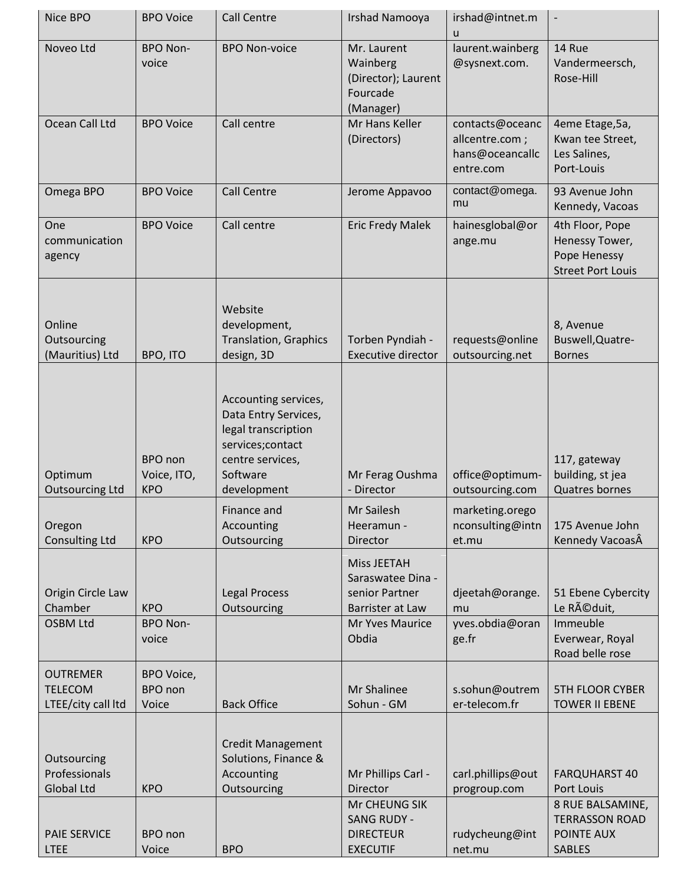| Nice BPO                                                | <b>BPO Voice</b>                       | <b>Call Centre</b>                                                                                                                     | Irshad Namooya                                                                                            | irshad@intnet.m<br>u                                              | $\overline{\phantom{a}}$                                                      |
|---------------------------------------------------------|----------------------------------------|----------------------------------------------------------------------------------------------------------------------------------------|-----------------------------------------------------------------------------------------------------------|-------------------------------------------------------------------|-------------------------------------------------------------------------------|
| Noveo Ltd                                               | <b>BPO Non-</b><br>voice               | <b>BPO Non-voice</b>                                                                                                                   | Mr. Laurent<br>Wainberg<br>(Director); Laurent<br>Fourcade<br>(Manager)                                   | laurent.wainberg<br>@sysnext.com.                                 | 14 Rue<br>Vandermeersch,<br>Rose-Hill                                         |
| Ocean Call Ltd                                          | <b>BPO Voice</b>                       | Call centre                                                                                                                            | Mr Hans Keller<br>(Directors)                                                                             | contacts@oceanc<br>allcentre.com;<br>hans@oceancallc<br>entre.com | 4eme Etage, 5a,<br>Kwan tee Street,<br>Les Salines,<br>Port-Louis             |
| Omega BPO                                               | <b>BPO Voice</b>                       | <b>Call Centre</b>                                                                                                                     | Jerome Appavoo                                                                                            | contact@omega.<br>mu                                              | 93 Avenue John<br>Kennedy, Vacoas                                             |
| One<br>communication<br>agency                          | <b>BPO Voice</b>                       | Call centre                                                                                                                            | <b>Eric Fredy Malek</b>                                                                                   | hainesglobal@or<br>ange.mu                                        | 4th Floor, Pope<br>Henessy Tower,<br>Pope Henessy<br><b>Street Port Louis</b> |
| Online<br>Outsourcing<br>(Mauritius) Ltd                | BPO, ITO                               | Website<br>development,<br><b>Translation, Graphics</b><br>design, 3D                                                                  | Torben Pyndiah -<br><b>Executive director</b>                                                             | requests@online<br>outsourcing.net                                | 8, Avenue<br>Buswell, Quatre-<br><b>Bornes</b>                                |
| Optimum<br><b>Outsourcing Ltd</b>                       | BPO non<br>Voice, ITO,<br><b>KPO</b>   | Accounting services,<br>Data Entry Services,<br>legal transcription<br>services;contact<br>centre services,<br>Software<br>development | Mr Ferag Oushma<br>- Director                                                                             | office@optimum-<br>outsourcing.com                                | 117, gateway<br>building, st jea<br><b>Quatres bornes</b>                     |
| Oregon<br><b>Consulting Ltd</b>                         | <b>KPO</b>                             | Finance and<br>Accounting<br>Outsourcing                                                                                               | Mr Sailesh<br>Heeramun -<br><b>Director</b>                                                               | marketing.orego<br>nconsulting@intn<br>et.mu                      | 175 Avenue John<br>Kennedy VacoasÂ                                            |
| Origin Circle Law<br>Chamber<br><b>OSBM Ltd</b>         | <b>KPO</b><br><b>BPO Non-</b><br>voice | <b>Legal Process</b><br>Outsourcing                                                                                                    | Miss JEETAH<br>Saraswatee Dina -<br>senior Partner<br>Barrister at Law<br><b>Mr Yves Maurice</b><br>Obdia | djeetah@orange.<br>mu<br>yves.obdia@oran<br>ge.fr                 | 51 Ebene Cybercity<br>Le Réduit,<br>Immeuble<br>Everwear, Royal               |
| <b>OUTREMER</b><br><b>TELECOM</b><br>LTEE/city call ltd | BPO Voice,<br>BPO non<br>Voice         | <b>Back Office</b>                                                                                                                     | Mr Shalinee<br>Sohun - GM                                                                                 | s.sohun@outrem<br>er-telecom.fr                                   | Road belle rose<br><b>5TH FLOOR CYBER</b><br><b>TOWER II EBENE</b>            |
| Outsourcing<br>Professionals<br><b>Global Ltd</b>       | <b>KPO</b>                             | <b>Credit Management</b><br>Solutions, Finance &<br>Accounting<br>Outsourcing                                                          | Mr Phillips Carl -<br><b>Director</b><br>Mr CHEUNG SIK                                                    | carl.phillips@out<br>progroup.com                                 | <b>FARQUHARST 40</b><br>Port Louis                                            |
| <b>PAIE SERVICE</b><br><b>LTEE</b>                      | BPO non<br>Voice                       | <b>BPO</b>                                                                                                                             | <b>SANG RUDY -</b><br><b>DIRECTEUR</b><br><b>EXECUTIF</b>                                                 | rudycheung@int<br>net.mu                                          | 8 RUE BALSAMINE,<br><b>TERRASSON ROAD</b><br>POINTE AUX<br><b>SABLES</b>      |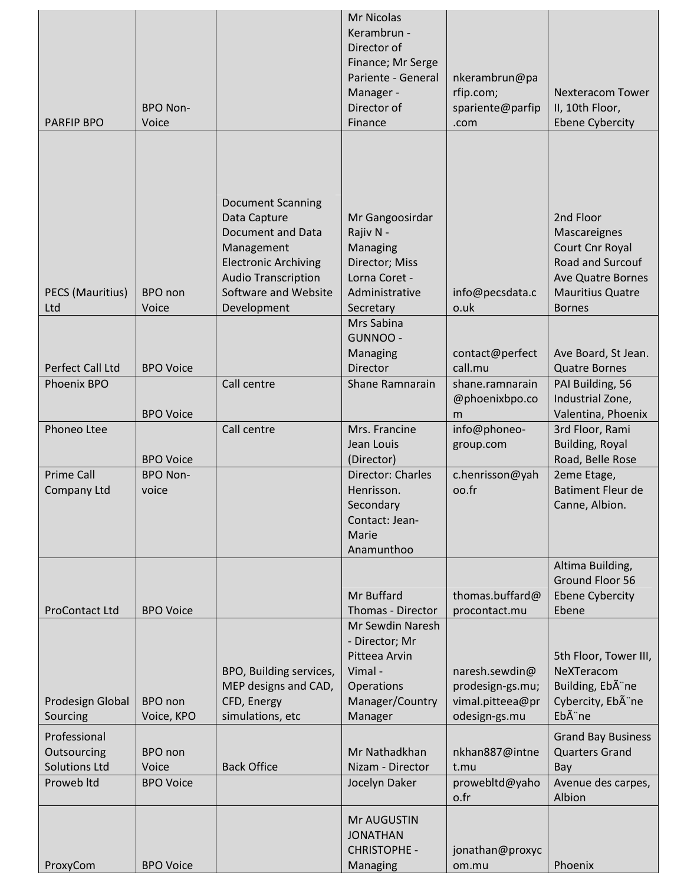| <b>PARFIP BPO</b>            | <b>BPO Non-</b><br>Voice |                                                                                                                                             | <b>Mr Nicolas</b><br>Kerambrun -<br>Director of<br>Finance; Mr Serge<br>Pariente - General<br>Manager -<br>Director of<br>Finance | nkerambrun@pa<br>rfip.com;<br>spariente@parfip<br>.com                  | <b>Nexteracom Tower</b><br>II, 10th Floor,<br><b>Ebene Cybercity</b>                                             |
|------------------------------|--------------------------|---------------------------------------------------------------------------------------------------------------------------------------------|-----------------------------------------------------------------------------------------------------------------------------------|-------------------------------------------------------------------------|------------------------------------------------------------------------------------------------------------------|
|                              |                          | <b>Document Scanning</b>                                                                                                                    |                                                                                                                                   |                                                                         |                                                                                                                  |
| PECS (Mauritius)             | BPO non                  | Data Capture<br><b>Document and Data</b><br>Management<br><b>Electronic Archiving</b><br><b>Audio Transcription</b><br>Software and Website | Mr Gangoosirdar<br>Rajiv N -<br>Managing<br>Director; Miss<br>Lorna Coret -<br>Administrative                                     | info@pecsdata.c                                                         | 2nd Floor<br>Mascareignes<br>Court Cnr Royal<br>Road and Surcouf<br>Ave Quatre Bornes<br><b>Mauritius Quatre</b> |
| Ltd                          | Voice                    | Development                                                                                                                                 | Secretary                                                                                                                         | o.uk                                                                    | <b>Bornes</b>                                                                                                    |
| Perfect Call Ltd             | <b>BPO Voice</b>         |                                                                                                                                             | Mrs Sabina<br>GUNNOO -<br>Managing<br>Director                                                                                    | contact@perfect<br>call.mu                                              | Ave Board, St Jean.<br><b>Quatre Bornes</b>                                                                      |
| Phoenix BPO                  |                          | Call centre                                                                                                                                 | Shane Ramnarain                                                                                                                   | shane.ramnarain                                                         | PAI Building, 56                                                                                                 |
|                              |                          |                                                                                                                                             |                                                                                                                                   | @phoenixbpo.co                                                          | Industrial Zone,                                                                                                 |
| Phoneo Ltee                  | <b>BPO Voice</b>         | Call centre                                                                                                                                 | Mrs. Francine                                                                                                                     | m<br>info@phoneo-                                                       | Valentina, Phoenix<br>3rd Floor, Rami                                                                            |
|                              | <b>BPO Voice</b>         |                                                                                                                                             | Jean Louis<br>(Director)                                                                                                          | group.com                                                               | <b>Building, Royal</b><br>Road, Belle Rose                                                                       |
| <b>Prime Call</b>            | <b>BPO Non-</b>          |                                                                                                                                             | Director: Charles                                                                                                                 | c.henrisson@yah                                                         | 2eme Etage,                                                                                                      |
| Company Ltd                  | voice                    |                                                                                                                                             | Henrisson.<br>Secondary<br>Contact: Jean-<br>Marie<br>Anamunthoo                                                                  | oo.fr                                                                   | <b>Batiment Fleur de</b><br>Canne, Albion.                                                                       |
|                              |                          |                                                                                                                                             |                                                                                                                                   |                                                                         | Altima Building,                                                                                                 |
| <b>ProContact Ltd</b>        | <b>BPO Voice</b>         |                                                                                                                                             | Mr Buffard<br>Thomas - Director                                                                                                   | thomas.buffard@<br>procontact.mu                                        | Ground Floor 56<br><b>Ebene Cybercity</b><br>Ebene                                                               |
| Prodesign Global<br>Sourcing | BPO non<br>Voice, KPO    | BPO, Building services,<br>MEP designs and CAD,<br>CFD, Energy<br>simulations, etc                                                          | Mr Sewdin Naresh<br>- Director; Mr<br>Pitteea Arvin<br>Vimal -<br>Operations<br>Manager/Country<br>Manager                        | naresh.sewdin@<br>prodesign-gs.mu;<br>vimal.pitteea@pr<br>odesign-gs.mu | 5th Floor, Tower III,<br>NeXTeracom<br>Building, Eb ne<br>Cybercity, EbA ne<br>Ebà ne                            |
| Professional                 |                          |                                                                                                                                             |                                                                                                                                   |                                                                         | <b>Grand Bay Business</b>                                                                                        |
| Outsourcing                  | BPO non                  |                                                                                                                                             | Mr Nathadkhan                                                                                                                     | nkhan887@intne                                                          | <b>Quarters Grand</b>                                                                                            |
| <b>Solutions Ltd</b>         | Voice                    | <b>Back Office</b>                                                                                                                          | Nizam - Director                                                                                                                  | t.mu                                                                    | Bay                                                                                                              |
| Proweb Itd                   | <b>BPO Voice</b>         |                                                                                                                                             | Jocelyn Daker                                                                                                                     | prowebltd@yaho<br>o.fr                                                  | Avenue des carpes,<br>Albion                                                                                     |
|                              |                          |                                                                                                                                             | Mr AUGUSTIN<br><b>JONATHAN</b><br><b>CHRISTOPHE -</b>                                                                             | jonathan@proxyc                                                         |                                                                                                                  |
| ProxyCom                     | <b>BPO Voice</b>         |                                                                                                                                             | Managing                                                                                                                          | om.mu                                                                   | Phoenix                                                                                                          |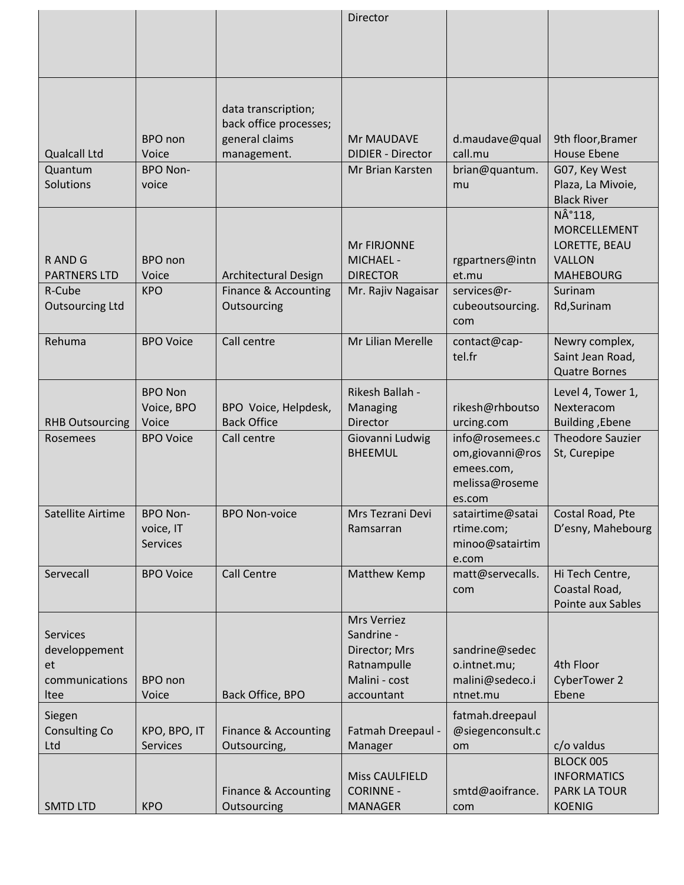|                        |                  |                             | <b>Director</b>          |                  |                         |
|------------------------|------------------|-----------------------------|--------------------------|------------------|-------------------------|
|                        |                  |                             |                          |                  |                         |
|                        |                  |                             |                          |                  |                         |
|                        |                  |                             |                          |                  |                         |
|                        |                  |                             |                          |                  |                         |
|                        |                  |                             |                          |                  |                         |
|                        |                  | data transcription;         |                          |                  |                         |
|                        |                  | back office processes;      |                          |                  |                         |
|                        | BPO non          | general claims              | Mr MAUDAVE               | d.maudave@qual   | 9th floor, Bramer       |
| <b>Qualcall Ltd</b>    | Voice            | management.                 | <b>DIDIER - Director</b> | call.mu          | <b>House Ebene</b>      |
| Quantum                | <b>BPO Non-</b>  |                             | Mr Brian Karsten         | brian@quantum.   | G07, Key West           |
| Solutions              | voice            |                             |                          | mu               | Plaza, La Mivoie,       |
|                        |                  |                             |                          |                  | <b>Black River</b>      |
|                        |                  |                             |                          |                  | N°118,                  |
|                        |                  |                             |                          |                  | <b>MORCELLEMENT</b>     |
|                        |                  |                             | Mr FIRJONNE              |                  | LORETTE, BEAU           |
| R AND G                | BPO non          |                             | <b>MICHAEL -</b>         | rgpartners@intn  | <b>VALLON</b>           |
| <b>PARTNERS LTD</b>    | Voice            | <b>Architectural Design</b> | <b>DIRECTOR</b>          | et.mu            | <b>MAHEBOURG</b>        |
| R-Cube                 | <b>KPO</b>       | Finance & Accounting        | Mr. Rajiv Nagaisar       | services@r-      | Surinam                 |
| <b>Outsourcing Ltd</b> |                  | Outsourcing                 |                          | cubeoutsourcing. | Rd, Surinam             |
|                        |                  |                             |                          | com              |                         |
| Rehuma                 | <b>BPO Voice</b> | Call centre                 | Mr Lilian Merelle        | contact@cap-     | Newry complex,          |
|                        |                  |                             |                          | tel.fr           | Saint Jean Road,        |
|                        |                  |                             |                          |                  | <b>Quatre Bornes</b>    |
|                        | <b>BPO Non</b>   |                             | Rikesh Ballah -          |                  | Level 4, Tower 1,       |
|                        | Voice, BPO       | BPO Voice, Helpdesk,        | Managing                 | rikesh@rhboutso  | Nexteracom              |
| <b>RHB Outsourcing</b> | Voice            | <b>Back Office</b>          | Director                 | urcing.com       | Building, Ebene         |
| Rosemees               | <b>BPO Voice</b> | Call centre                 | Giovanni Ludwig          | info@rosemees.c  | <b>Theodore Sauzier</b> |
|                        |                  |                             | <b>BHEEMUL</b>           | om,giovanni@ros  | St, Curepipe            |
|                        |                  |                             |                          | emees.com,       |                         |
|                        |                  |                             |                          | melissa@roseme   |                         |
|                        |                  |                             |                          | es.com           |                         |
| Satellite Airtime      | <b>BPO Non-</b>  | <b>BPO Non-voice</b>        | Mrs Tezrani Devi         | satairtime@satai | Costal Road, Pte        |
|                        | voice, IT        |                             | Ramsarran                | rtime.com;       | D'esny, Mahebourg       |
|                        | <b>Services</b>  |                             |                          | minoo@satairtim  |                         |
|                        |                  |                             |                          | e.com            |                         |
| Servecall              | <b>BPO Voice</b> | <b>Call Centre</b>          | Matthew Kemp             | matt@servecalls. | Hi Tech Centre,         |
|                        |                  |                             |                          | com              | Coastal Road,           |
|                        |                  |                             |                          |                  | Pointe aux Sables       |
|                        |                  |                             | Mrs Verriez              |                  |                         |
| <b>Services</b>        |                  |                             | Sandrine -               |                  |                         |
| developpement          |                  |                             | Director; Mrs            | sandrine@sedec   |                         |
| et                     |                  |                             | Ratnampulle              | o.intnet.mu;     | 4th Floor               |
| communications         | <b>BPO</b> non   |                             | Malini - cost            | malini@sedeco.i  | <b>CyberTower 2</b>     |
| Itee                   | Voice            | Back Office, BPO            | accountant               | ntnet.mu         | Ebene                   |
| Siegen                 |                  |                             |                          | fatmah.dreepaul  |                         |
| Consulting Co          | KPO, BPO, IT     | Finance & Accounting        | Fatmah Dreepaul -        | @siegenconsult.c |                         |
| Ltd                    | <b>Services</b>  | Outsourcing,                | Manager                  | om               | c/o valdus              |
|                        |                  |                             |                          |                  | BLOCK 005               |
|                        |                  |                             | <b>Miss CAULFIELD</b>    |                  | <b>INFORMATICS</b>      |
|                        |                  | Finance & Accounting        | <b>CORINNE -</b>         | smtd@aoifrance.  | PARK LA TOUR            |
| <b>SMTD LTD</b>        | <b>KPO</b>       | Outsourcing                 | <b>MANAGER</b>           | com              | <b>KOENIG</b>           |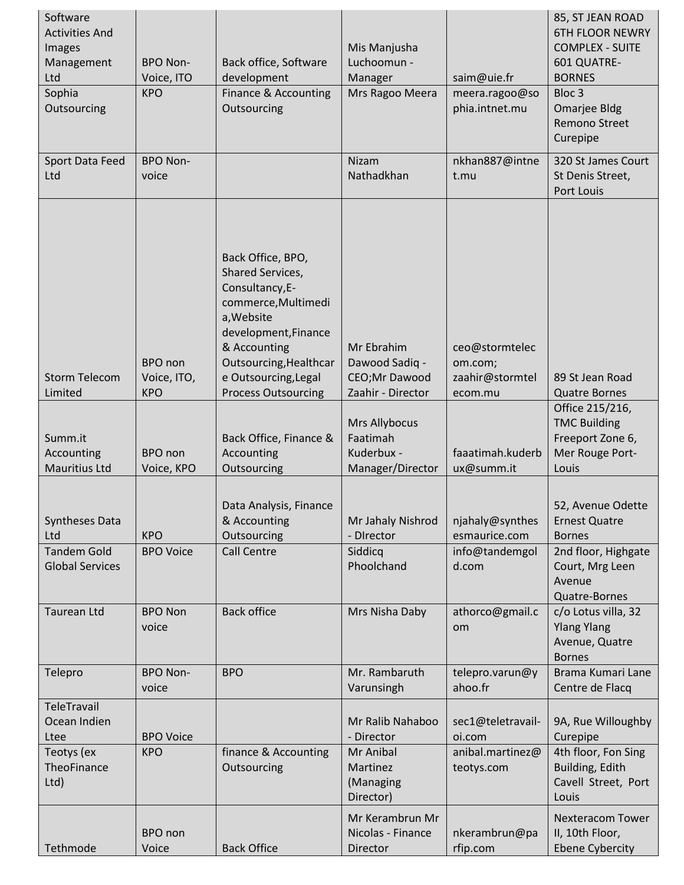| Software<br><b>Activities And</b><br>Images<br>Management<br>Ltd<br>Sophia<br>Outsourcing                                       | <b>BPO Non-</b><br>Voice, ITO<br><b>KPO</b>                                                     | Back office, Software<br>development<br>Finance & Accounting<br>Outsourcing                                                                                                                                                                                                                                                                                 | Mis Manjusha<br>Luchoomun -<br>Manager<br>Mrs Ragoo Meera                                                                                                                       | saim@uie.fr<br>meera.ragoo@so<br>phia.intnet.mu                                                                                                 | 85, ST JEAN ROAD<br><b>6TH FLOOR NEWRY</b><br><b>COMPLEX - SUITE</b><br>601 QUATRE-<br><b>BORNES</b><br>Bloc <sub>3</sub><br>Omarjee Bldg<br><b>Remono Street</b><br>Curepipe                                          |
|---------------------------------------------------------------------------------------------------------------------------------|-------------------------------------------------------------------------------------------------|-------------------------------------------------------------------------------------------------------------------------------------------------------------------------------------------------------------------------------------------------------------------------------------------------------------------------------------------------------------|---------------------------------------------------------------------------------------------------------------------------------------------------------------------------------|-------------------------------------------------------------------------------------------------------------------------------------------------|------------------------------------------------------------------------------------------------------------------------------------------------------------------------------------------------------------------------|
| Sport Data Feed<br>Ltd                                                                                                          | <b>BPO Non-</b><br>voice                                                                        |                                                                                                                                                                                                                                                                                                                                                             | <b>Nizam</b><br>Nathadkhan                                                                                                                                                      | nkhan887@intne<br>t.mu                                                                                                                          | 320 St James Court<br>St Denis Street,<br>Port Louis                                                                                                                                                                   |
| <b>Storm Telecom</b><br>Limited<br>Summ.it<br>Accounting<br>Mauritius Ltd<br><b>Syntheses Data</b><br>Ltd<br><b>Tandem Gold</b> | BPO non<br>Voice, ITO,<br><b>KPO</b><br>BPO non<br>Voice, KPO<br><b>KPO</b><br><b>BPO Voice</b> | Back Office, BPO,<br>Shared Services,<br>Consultancy, E-<br>commerce, Multimedi<br>a, Website<br>development, Finance<br>& Accounting<br>Outsourcing, Healthcar<br>e Outsourcing, Legal<br><b>Process Outsourcing</b><br>Back Office, Finance &<br>Accounting<br>Outsourcing<br>Data Analysis, Finance<br>& Accounting<br>Outsourcing<br><b>Call Centre</b> | Mr Ebrahim<br>Dawood Sadiq -<br>CEO;Mr Dawood<br>Zaahir - Director<br>Mrs Allybocus<br>Faatimah<br>Kuderbux -<br>Manager/Director<br>Mr Jahaly Nishrod<br>- Director<br>Siddicq | ceo@stormtelec<br>om.com;<br>zaahir@stormtel<br>ecom.mu<br>faaatimah.kuderb<br>ux@summ.it<br>njahaly@synthes<br>esmaurice.com<br>info@tandemgol | 89 St Jean Road<br><b>Quatre Bornes</b><br>Office 215/216,<br><b>TMC Building</b><br>Freeport Zone 6,<br>Mer Rouge Port-<br>Louis<br>52, Avenue Odette<br><b>Ernest Quatre</b><br><b>Bornes</b><br>2nd floor, Highgate |
| <b>Global Services</b>                                                                                                          |                                                                                                 |                                                                                                                                                                                                                                                                                                                                                             | Phoolchand                                                                                                                                                                      | d.com                                                                                                                                           | Court, Mrg Leen<br>Avenue<br>Quatre-Bornes                                                                                                                                                                             |
| <b>Taurean Ltd</b>                                                                                                              | <b>BPO Non</b><br>voice                                                                         | <b>Back office</b>                                                                                                                                                                                                                                                                                                                                          | Mrs Nisha Daby                                                                                                                                                                  | athorco@gmail.c<br>om                                                                                                                           | c/o Lotus villa, 32<br><b>Ylang Ylang</b><br>Avenue, Quatre<br><b>Bornes</b>                                                                                                                                           |
| Telepro                                                                                                                         | <b>BPO Non-</b><br>voice                                                                        | <b>BPO</b>                                                                                                                                                                                                                                                                                                                                                  | Mr. Rambaruth<br>Varunsingh                                                                                                                                                     | telepro.varun@y<br>ahoo.fr                                                                                                                      | Brama Kumari Lane<br>Centre de Flacq                                                                                                                                                                                   |
| TeleTravail<br>Ocean Indien<br>Ltee<br>Teotys (ex<br>TheoFinance<br>Ltd)                                                        | <b>BPO Voice</b><br><b>KPO</b>                                                                  | finance & Accounting<br>Outsourcing                                                                                                                                                                                                                                                                                                                         | Mr Ralib Nahaboo<br>- Director<br>Mr Anibal<br>Martinez<br>(Managing<br>Director)                                                                                               | sec1@teletravail-<br>oi.com<br>anibal.martinez@<br>teotys.com                                                                                   | 9A, Rue Willoughby<br>Curepipe<br>4th floor, Fon Sing<br>Building, Edith<br>Cavell Street, Port<br>Louis                                                                                                               |
| Tethmode                                                                                                                        | BPO non<br>Voice                                                                                | <b>Back Office</b>                                                                                                                                                                                                                                                                                                                                          | Mr Kerambrun Mr<br>Nicolas - Finance<br>Director                                                                                                                                | nkerambrun@pa<br>rfip.com                                                                                                                       | <b>Nexteracom Tower</b><br>II, 10th Floor,<br><b>Ebene Cybercity</b>                                                                                                                                                   |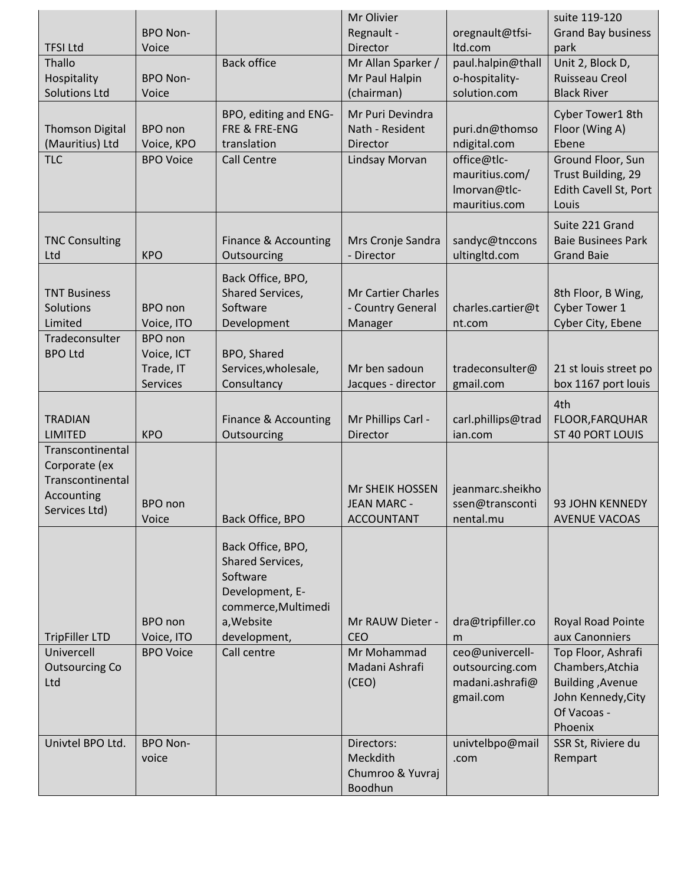|                                   |                              |                                        | Mr Olivier                                   |                                     | suite 119-120                                |
|-----------------------------------|------------------------------|----------------------------------------|----------------------------------------------|-------------------------------------|----------------------------------------------|
| <b>TFSI Ltd</b>                   | <b>BPO Non-</b><br>Voice     |                                        | Regnault -<br>Director                       | oregnault@tfsi-<br>Itd.com          | <b>Grand Bay business</b><br>park            |
| Thallo                            |                              | <b>Back office</b>                     | Mr Allan Sparker /                           | paul.halpin@thall                   | Unit 2, Block D,                             |
| Hospitality                       | <b>BPO Non-</b>              |                                        | Mr Paul Halpin                               | o-hospitality-                      | Ruisseau Creol                               |
| <b>Solutions Ltd</b>              | Voice                        |                                        | (chairman)                                   | solution.com                        | <b>Black River</b>                           |
| <b>Thomson Digital</b>            | BPO non                      | BPO, editing and ENG-<br>FRE & FRE-ENG | Mr Puri Devindra<br>Nath - Resident          | puri.dn@thomso                      | Cyber Tower1 8th<br>Floor (Wing A)           |
| (Mauritius) Ltd                   | Voice, KPO                   | translation                            | <b>Director</b>                              | ndigital.com                        | Ebene                                        |
| <b>TLC</b>                        | <b>BPO Voice</b>             | <b>Call Centre</b>                     | Lindsay Morvan                               | office@tlc-                         | Ground Floor, Sun                            |
|                                   |                              |                                        |                                              | mauritius.com/                      | Trust Building, 29                           |
|                                   |                              |                                        |                                              | Imorvan@tlc-<br>mauritius.com       | Edith Cavell St, Port<br>Louis               |
|                                   |                              |                                        |                                              |                                     | Suite 221 Grand                              |
| <b>TNC Consulting</b>             |                              | Finance & Accounting                   | Mrs Cronje Sandra                            | sandyc@tnccons                      | <b>Baie Businees Park</b>                    |
| Ltd                               | <b>KPO</b>                   | Outsourcing                            | - Director                                   | ultingltd.com                       | <b>Grand Baie</b>                            |
|                                   |                              | Back Office, BPO,                      |                                              |                                     |                                              |
| <b>TNT Business</b>               |                              | <b>Shared Services,</b>                | <b>Mr Cartier Charles</b>                    |                                     | 8th Floor, B Wing,                           |
| Solutions<br>Limited              | BPO non<br>Voice, ITO        | Software<br>Development                | - Country General<br>Manager                 | charles.cartier@t<br>nt.com         | Cyber Tower 1<br>Cyber City, Ebene           |
| Tradeconsulter                    | BPO non                      |                                        |                                              |                                     |                                              |
| <b>BPO Ltd</b>                    | Voice, ICT                   | BPO, Shared                            |                                              |                                     |                                              |
|                                   | Trade, IT<br><b>Services</b> | Services, wholesale,<br>Consultancy    | Mr ben sadoun<br>Jacques - director          | tradeconsulter@<br>gmail.com        | 21 st louis street po<br>box 1167 port louis |
|                                   |                              |                                        |                                              |                                     | 4th                                          |
| <b>TRADIAN</b>                    |                              | Finance & Accounting                   | Mr Phillips Carl -                           | carl.phillips@trad                  | FLOOR, FARQUHAR                              |
| <b>LIMITED</b>                    | <b>KPO</b>                   | Outsourcing                            | Director                                     | ian.com                             | ST 40 PORT LOUIS                             |
| Transcontinental                  |                              |                                        |                                              |                                     |                                              |
| Corporate (ex<br>Transcontinental |                              |                                        |                                              |                                     |                                              |
| Accounting                        | BPO non                      |                                        | <b>Mr SHEIK HOSSEN</b><br><b>JEAN MARC -</b> | jeanmarc.sheikho<br>ssen@transconti | 93 JOHN KENNEDY                              |
| Services Ltd)                     | Voice                        | Back Office, BPO                       | <b>ACCOUNTANT</b>                            | nental.mu                           | <b>AVENUE VACOAS</b>                         |
|                                   |                              |                                        |                                              |                                     |                                              |
|                                   |                              | Back Office, BPO,<br>Shared Services,  |                                              |                                     |                                              |
|                                   |                              | Software                               |                                              |                                     |                                              |
|                                   |                              | Development, E-                        |                                              |                                     |                                              |
|                                   | BPO non                      | commerce, Multimedi<br>a, Website      | Mr RAUW Dieter -                             | dra@tripfiller.co                   | Royal Road Pointe                            |
| <b>TripFiller LTD</b>             | Voice, ITO                   | development,                           | <b>CEO</b>                                   | m                                   | aux Canonniers                               |
| Univercell                        | <b>BPO Voice</b>             | Call centre                            | Mr Mohammad                                  | ceo@univercell-                     | Top Floor, Ashrafi                           |
| <b>Outsourcing Co</b>             |                              |                                        | Madani Ashrafi                               | outsourcing.com                     | Chambers, Atchia                             |
| Ltd                               |                              |                                        | (CEO)                                        | madani.ashrafi@<br>gmail.com        | Building, Avenue<br>John Kennedy, City       |
|                                   |                              |                                        |                                              |                                     | Of Vacoas -                                  |
|                                   |                              |                                        |                                              |                                     | Phoenix                                      |
| Univtel BPO Ltd.                  | <b>BPO Non-</b><br>voice     |                                        | Directors:<br>Meckdith                       | univtelbpo@mail<br>.com             | SSR St, Riviere du<br>Rempart                |
|                                   |                              |                                        | Chumroo & Yuvraj                             |                                     |                                              |
|                                   |                              |                                        | Boodhun                                      |                                     |                                              |